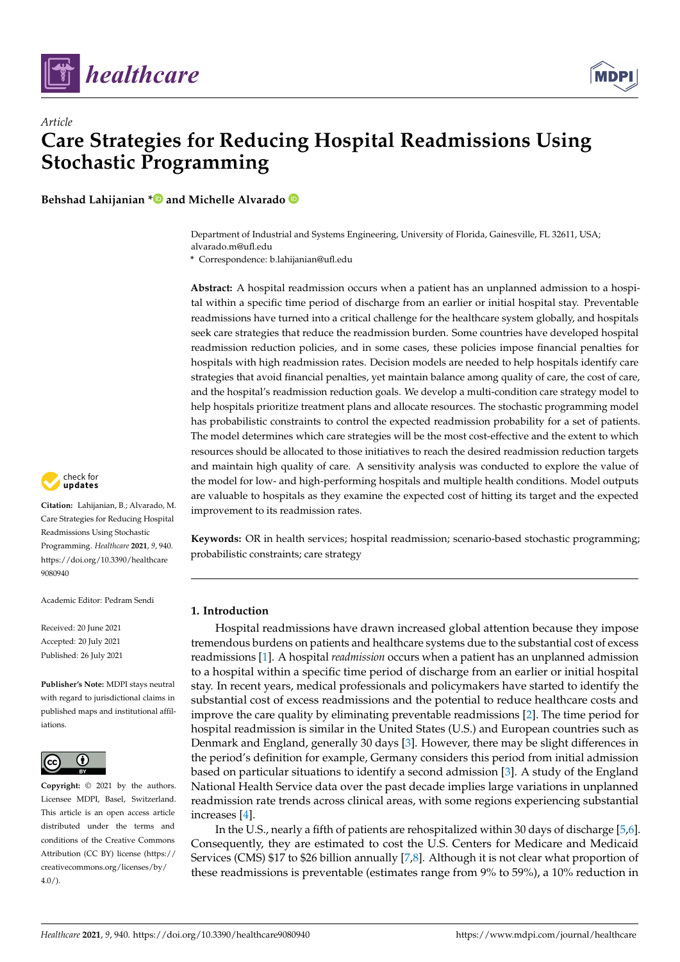

*Article*



# **Care Strategies for Reducing Hospital Readmissions Using Stochastic Programming**

**Behshad Lahijanian [\\*](https://orcid.org/0000-0002-8682-7863) and Michelle Alvarado**

Department of Industrial and Systems Engineering, University of Florida, Gainesville, FL 32611, USA; alvarado.m@ufl.edu

**\*** Correspondence: b.lahijanian@ufl.edu

**Abstract:** A hospital readmission occurs when a patient has an unplanned admission to a hospital within a specific time period of discharge from an earlier or initial hospital stay. Preventable readmissions have turned into a critical challenge for the healthcare system globally, and hospitals seek care strategies that reduce the readmission burden. Some countries have developed hospital readmission reduction policies, and in some cases, these policies impose financial penalties for hospitals with high readmission rates. Decision models are needed to help hospitals identify care strategies that avoid financial penalties, yet maintain balance among quality of care, the cost of care, and the hospital's readmission reduction goals. We develop a multi-condition care strategy model to help hospitals prioritize treatment plans and allocate resources. The stochastic programming model has probabilistic constraints to control the expected readmission probability for a set of patients. The model determines which care strategies will be the most cost-effective and the extent to which resources should be allocated to those initiatives to reach the desired readmission reduction targets and maintain high quality of care. A sensitivity analysis was conducted to explore the value of the model for low- and high-performing hospitals and multiple health conditions. Model outputs are valuable to hospitals as they examine the expected cost of hitting its target and the expected improvement to its readmission rates.

**Keywords:** OR in health services; hospital readmission; scenario-based stochastic programming; probabilistic constraints; care strategy

# **1. Introduction**

Hospital readmissions have drawn increased global attention because they impose tremendous burdens on patients and healthcare systems due to the substantial cost of excess readmissions [\[1\]](#page-19-0). A hospital *readmission* occurs when a patient has an unplanned admission to a hospital within a specific time period of discharge from an earlier or initial hospital stay. In recent years, medical professionals and policymakers have started to identify the substantial cost of excess readmissions and the potential to reduce healthcare costs and improve the care quality by eliminating preventable readmissions [\[2\]](#page-19-1). The time period for hospital readmission is similar in the United States (U.S.) and European countries such as Denmark and England, generally 30 days [\[3\]](#page-19-2). However, there may be slight differences in the period's definition for example, Germany considers this period from initial admission based on particular situations to identify a second admission [\[3\]](#page-19-2). A study of the England National Health Service data over the past decade implies large variations in unplanned readmission rate trends across clinical areas, with some regions experiencing substantial increases [\[4\]](#page-19-3).

In the U.S., nearly a fifth of patients are rehospitalized within 30 days of discharge [\[5](#page-19-4)[,6\]](#page-19-5). Consequently, they are estimated to cost the U.S. Centers for Medicare and Medicaid Services (CMS) \$17 to \$26 billion annually [\[7,](#page-19-6)[8\]](#page-19-7). Although it is not clear what proportion of these readmissions is preventable (estimates range from 9% to 59%), a 10% reduction in



**Citation:** Lahijanian, B.; Alvarado, M. Care Strategies for Reducing Hospital Readmissions Using Stochastic Programming. *Healthcare* **2021**, *9*, 940. [https://doi.org/10.3390/healthcare](https://doi.org/10.3390/healthcare9080940) [9080940](https://doi.org/10.3390/healthcare9080940)

Academic Editor: Pedram Sendi

Received: 20 June 2021 Accepted: 20 July 2021 Published: 26 July 2021

**Publisher's Note:** MDPI stays neutral with regard to jurisdictional claims in published maps and institutional affiliations.



**Copyright:** © 2021 by the authors. Licensee MDPI, Basel, Switzerland. This article is an open access article distributed under the terms and conditions of the Creative Commons Attribution (CC BY) license (https:/[/](https://creativecommons.org/licenses/by/4.0/) [creativecommons.org/licenses/by/](https://creativecommons.org/licenses/by/4.0/)  $4.0/$ ).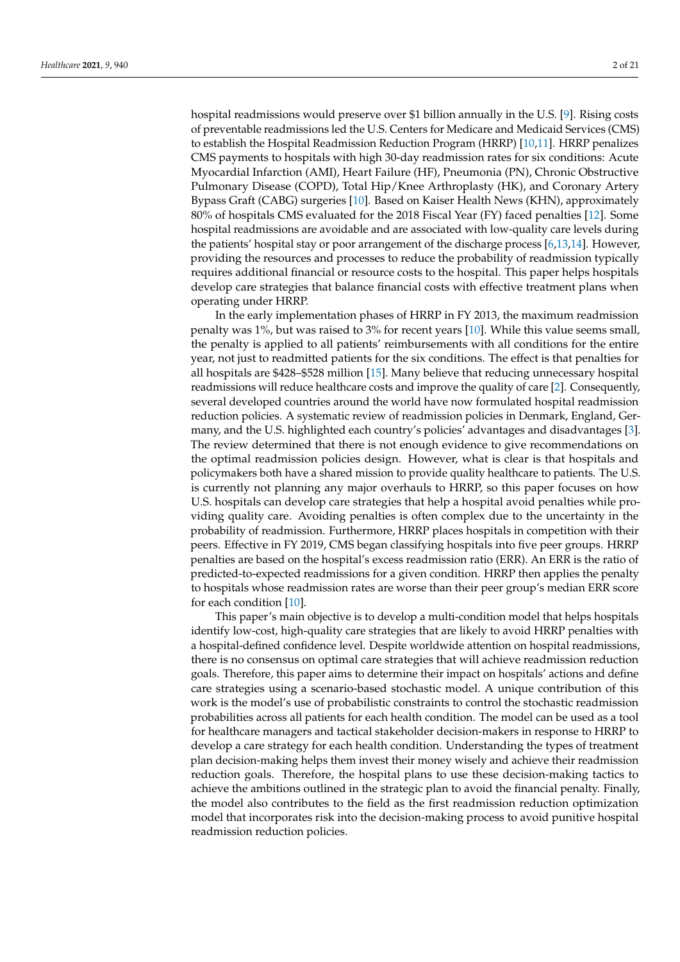hospital readmissions would preserve over \$1 billion annually in the U.S. [\[9\]](#page-19-8). Rising costs of preventable readmissions led the U.S. Centers for Medicare and Medicaid Services (CMS) to establish the Hospital Readmission Reduction Program (HRRP) [\[10,](#page-19-9)[11\]](#page-19-10). HRRP penalizes CMS payments to hospitals with high 30-day readmission rates for six conditions: Acute Myocardial Infarction (AMI), Heart Failure (HF), Pneumonia (PN), Chronic Obstructive Pulmonary Disease (COPD), Total Hip/Knee Arthroplasty (HK), and Coronary Artery Bypass Graft (CABG) surgeries [\[10\]](#page-19-9). Based on Kaiser Health News (KHN), approximately 80% of hospitals CMS evaluated for the 2018 Fiscal Year (FY) faced penalties [\[12\]](#page-19-11). Some hospital readmissions are avoidable and are associated with low-quality care levels during the patients' hospital stay or poor arrangement of the discharge process [\[6](#page-19-5)[,13](#page-19-12)[,14\]](#page-19-13). However, providing the resources and processes to reduce the probability of readmission typically requires additional financial or resource costs to the hospital. This paper helps hospitals develop care strategies that balance financial costs with effective treatment plans when operating under HRRP.

In the early implementation phases of HRRP in FY 2013, the maximum readmission penalty was 1%, but was raised to 3% for recent years [\[10\]](#page-19-9). While this value seems small, the penalty is applied to all patients' reimbursements with all conditions for the entire year, not just to readmitted patients for the six conditions. The effect is that penalties for all hospitals are \$428–\$528 million [\[15\]](#page-19-14). Many believe that reducing unnecessary hospital readmissions will reduce healthcare costs and improve the quality of care [\[2\]](#page-19-1). Consequently, several developed countries around the world have now formulated hospital readmission reduction policies. A systematic review of readmission policies in Denmark, England, Germany, and the U.S. highlighted each country's policies' advantages and disadvantages [\[3\]](#page-19-2). The review determined that there is not enough evidence to give recommendations on the optimal readmission policies design. However, what is clear is that hospitals and policymakers both have a shared mission to provide quality healthcare to patients. The U.S. is currently not planning any major overhauls to HRRP, so this paper focuses on how U.S. hospitals can develop care strategies that help a hospital avoid penalties while providing quality care. Avoiding penalties is often complex due to the uncertainty in the probability of readmission. Furthermore, HRRP places hospitals in competition with their peers. Effective in FY 2019, CMS began classifying hospitals into five peer groups. HRRP penalties are based on the hospital's excess readmission ratio (ERR). An ERR is the ratio of predicted-to-expected readmissions for a given condition. HRRP then applies the penalty to hospitals whose readmission rates are worse than their peer group's median ERR score for each condition [\[10\]](#page-19-9).

This paper's main objective is to develop a multi-condition model that helps hospitals identify low-cost, high-quality care strategies that are likely to avoid HRRP penalties with a hospital-defined confidence level. Despite worldwide attention on hospital readmissions, there is no consensus on optimal care strategies that will achieve readmission reduction goals. Therefore, this paper aims to determine their impact on hospitals' actions and define care strategies using a scenario-based stochastic model. A unique contribution of this work is the model's use of probabilistic constraints to control the stochastic readmission probabilities across all patients for each health condition. The model can be used as a tool for healthcare managers and tactical stakeholder decision-makers in response to HRRP to develop a care strategy for each health condition. Understanding the types of treatment plan decision-making helps them invest their money wisely and achieve their readmission reduction goals. Therefore, the hospital plans to use these decision-making tactics to achieve the ambitions outlined in the strategic plan to avoid the financial penalty. Finally, the model also contributes to the field as the first readmission reduction optimization model that incorporates risk into the decision-making process to avoid punitive hospital readmission reduction policies.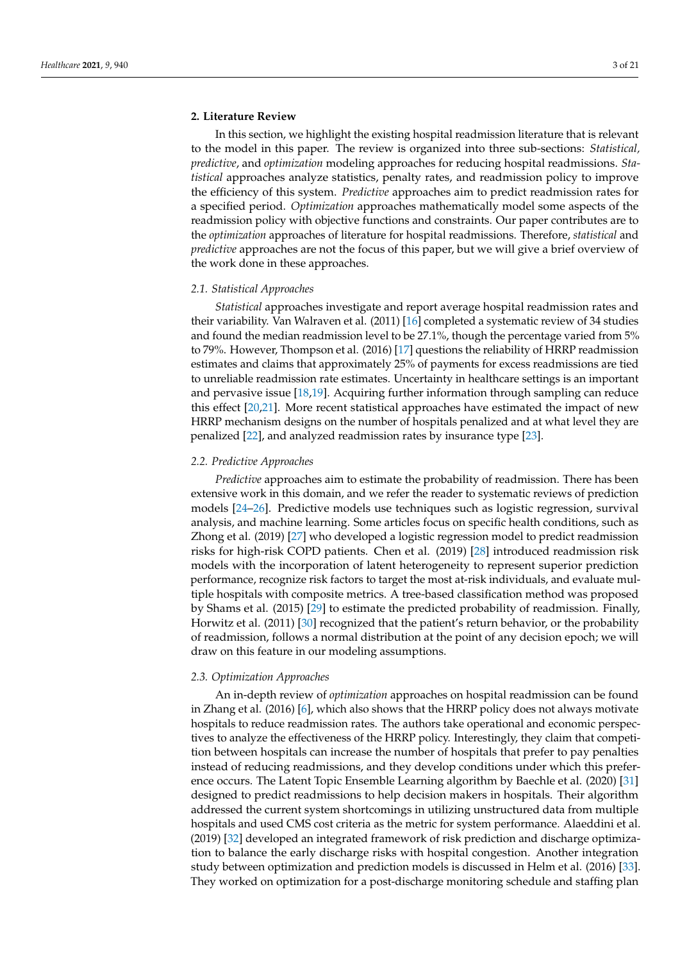## **2. Literature Review**

In this section, we highlight the existing hospital readmission literature that is relevant to the model in this paper. The review is organized into three sub-sections: *Statistical, predictive*, and *optimization* modeling approaches for reducing hospital readmissions. *Statistical* approaches analyze statistics, penalty rates, and readmission policy to improve the efficiency of this system. *Predictive* approaches aim to predict readmission rates for a specified period. *Optimization* approaches mathematically model some aspects of the readmission policy with objective functions and constraints. Our paper contributes are to the *optimization* approaches of literature for hospital readmissions. Therefore, *statistical* and *predictive* approaches are not the focus of this paper, but we will give a brief overview of the work done in these approaches.

## *2.1. Statistical Approaches*

*Statistical* approaches investigate and report average hospital readmission rates and their variability. Van Walraven et al. (2011) [\[16\]](#page-19-15) completed a systematic review of 34 studies and found the median readmission level to be 27.1%, though the percentage varied from 5% to 79%. However, Thompson et al. (2016) [\[17\]](#page-19-16) questions the reliability of HRRP readmission estimates and claims that approximately 25% of payments for excess readmissions are tied to unreliable readmission rate estimates. Uncertainty in healthcare settings is an important and pervasive issue [\[18,](#page-19-17)[19\]](#page-19-18). Acquiring further information through sampling can reduce this effect [\[20,](#page-19-19)[21\]](#page-19-20). More recent statistical approaches have estimated the impact of new HRRP mechanism designs on the number of hospitals penalized and at what level they are penalized [\[22\]](#page-20-0), and analyzed readmission rates by insurance type [\[23\]](#page-20-1).

## *2.2. Predictive Approaches*

*Predictive* approaches aim to estimate the probability of readmission. There has been extensive work in this domain, and we refer the reader to systematic reviews of prediction models [\[24–](#page-20-2)[26\]](#page-20-3). Predictive models use techniques such as logistic regression, survival analysis, and machine learning. Some articles focus on specific health conditions, such as Zhong et al. (2019) [\[27\]](#page-20-4) who developed a logistic regression model to predict readmission risks for high-risk COPD patients. Chen et al. (2019) [\[28\]](#page-20-5) introduced readmission risk models with the incorporation of latent heterogeneity to represent superior prediction performance, recognize risk factors to target the most at-risk individuals, and evaluate multiple hospitals with composite metrics. A tree-based classification method was proposed by Shams et al. (2015) [\[29\]](#page-20-6) to estimate the predicted probability of readmission. Finally, Horwitz et al. (2011) [\[30\]](#page-20-7) recognized that the patient's return behavior, or the probability of readmission, follows a normal distribution at the point of any decision epoch; we will draw on this feature in our modeling assumptions.

#### *2.3. Optimization Approaches*

An in-depth review of *optimization* approaches on hospital readmission can be found in Zhang et al. (2016) [\[6\]](#page-19-5), which also shows that the HRRP policy does not always motivate hospitals to reduce readmission rates. The authors take operational and economic perspectives to analyze the effectiveness of the HRRP policy. Interestingly, they claim that competition between hospitals can increase the number of hospitals that prefer to pay penalties instead of reducing readmissions, and they develop conditions under which this preference occurs. The Latent Topic Ensemble Learning algorithm by Baechle et al. (2020) [\[31\]](#page-20-8) designed to predict readmissions to help decision makers in hospitals. Their algorithm addressed the current system shortcomings in utilizing unstructured data from multiple hospitals and used CMS cost criteria as the metric for system performance. Alaeddini et al. (2019) [\[32\]](#page-20-9) developed an integrated framework of risk prediction and discharge optimization to balance the early discharge risks with hospital congestion. Another integration study between optimization and prediction models is discussed in Helm et al. (2016) [\[33\]](#page-20-10). They worked on optimization for a post-discharge monitoring schedule and staffing plan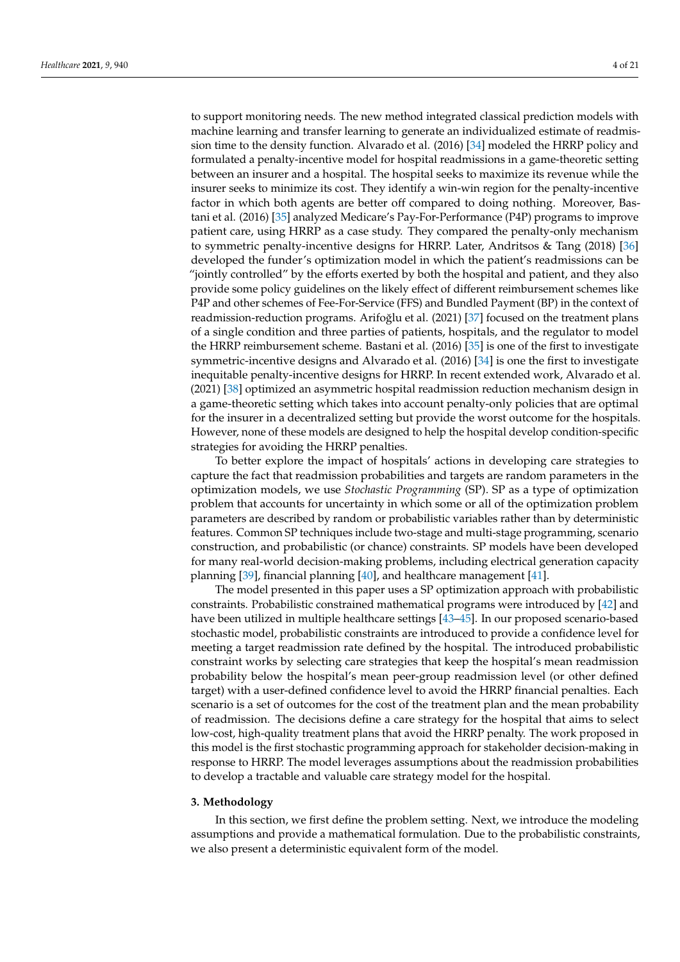to support monitoring needs. The new method integrated classical prediction models with machine learning and transfer learning to generate an individualized estimate of readmission time to the density function. Alvarado et al. (2016) [\[34\]](#page-20-11) modeled the HRRP policy and formulated a penalty-incentive model for hospital readmissions in a game-theoretic setting between an insurer and a hospital. The hospital seeks to maximize its revenue while the insurer seeks to minimize its cost. They identify a win-win region for the penalty-incentive factor in which both agents are better off compared to doing nothing. Moreover, Bastani et al. (2016) [\[35\]](#page-20-12) analyzed Medicare's Pay-For-Performance (P4P) programs to improve patient care, using HRRP as a case study. They compared the penalty-only mechanism to symmetric penalty-incentive designs for HRRP. Later, Andritsos & Tang (2018) [\[36\]](#page-20-13) developed the funder's optimization model in which the patient's readmissions can be "jointly controlled" by the efforts exerted by both the hospital and patient, and they also provide some policy guidelines on the likely effect of different reimbursement schemes like P4P and other schemes of Fee-For-Service (FFS) and Bundled Payment (BP) in the context of readmission-reduction programs. Arifoğlu et al. (2021) [\[37\]](#page-20-14) focused on the treatment plans of a single condition and three parties of patients, hospitals, and the regulator to model the HRRP reimbursement scheme. Bastani et al. (2016) [\[35\]](#page-20-12) is one of the first to investigate symmetric-incentive designs and Alvarado et al. (2016) [\[34\]](#page-20-11) is one the first to investigate inequitable penalty-incentive designs for HRRP. In recent extended work, Alvarado et al. (2021) [\[38\]](#page-20-15) optimized an asymmetric hospital readmission reduction mechanism design in a game-theoretic setting which takes into account penalty-only policies that are optimal for the insurer in a decentralized setting but provide the worst outcome for the hospitals. However, none of these models are designed to help the hospital develop condition-specific strategies for avoiding the HRRP penalties.

To better explore the impact of hospitals' actions in developing care strategies to capture the fact that readmission probabilities and targets are random parameters in the optimization models, we use *Stochastic Programming* (SP). SP as a type of optimization problem that accounts for uncertainty in which some or all of the optimization problem parameters are described by random or probabilistic variables rather than by deterministic features. Common SP techniques include two-stage and multi-stage programming, scenario construction, and probabilistic (or chance) constraints. SP models have been developed for many real-world decision-making problems, including electrical generation capacity planning [\[39\]](#page-20-16), financial planning [\[40\]](#page-20-17), and healthcare management [\[41\]](#page-20-18).

The model presented in this paper uses a SP optimization approach with probabilistic constraints. Probabilistic constrained mathematical programs were introduced by [\[42\]](#page-20-19) and have been utilized in multiple healthcare settings [\[43–](#page-20-20)[45\]](#page-20-21). In our proposed scenario-based stochastic model, probabilistic constraints are introduced to provide a confidence level for meeting a target readmission rate defined by the hospital. The introduced probabilistic constraint works by selecting care strategies that keep the hospital's mean readmission probability below the hospital's mean peer-group readmission level (or other defined target) with a user-defined confidence level to avoid the HRRP financial penalties. Each scenario is a set of outcomes for the cost of the treatment plan and the mean probability of readmission. The decisions define a care strategy for the hospital that aims to select low-cost, high-quality treatment plans that avoid the HRRP penalty. The work proposed in this model is the first stochastic programming approach for stakeholder decision-making in response to HRRP. The model leverages assumptions about the readmission probabilities to develop a tractable and valuable care strategy model for the hospital.

## **3. Methodology**

In this section, we first define the problem setting. Next, we introduce the modeling assumptions and provide a mathematical formulation. Due to the probabilistic constraints, we also present a deterministic equivalent form of the model.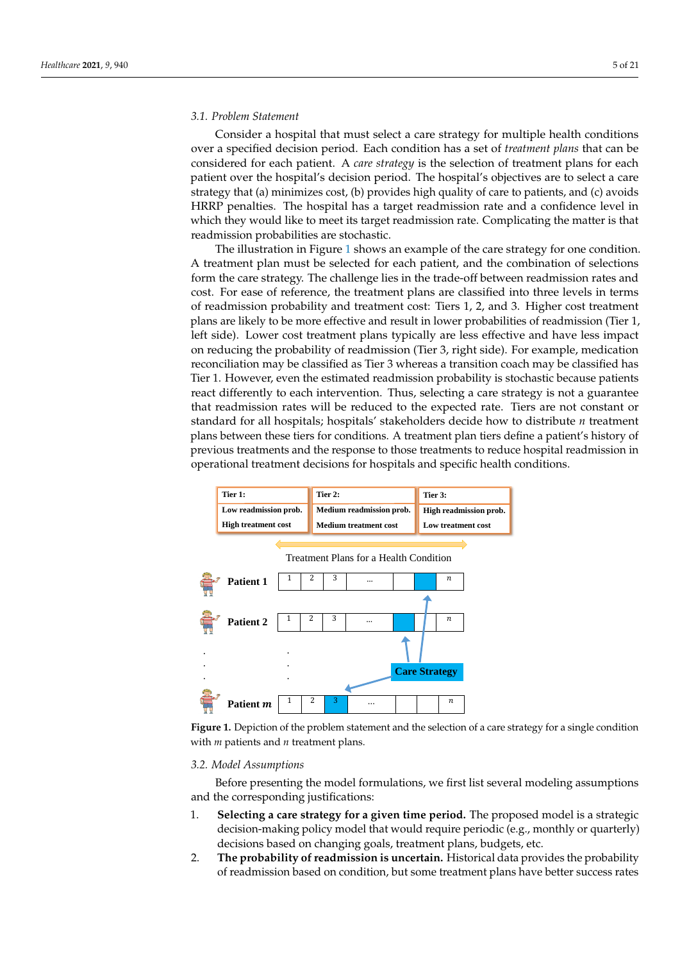## *3.1. Problem Statement*

Consider a hospital that must select a care strategy for multiple health conditions over a specified decision period. Each condition has a set of *treatment plans* that can be considered for each patient. A *care strategy* is the selection of treatment plans for each patient over the hospital's decision period. The hospital's objectives are to select a care strategy that (a) minimizes cost, (b) provides high quality of care to patients, and (c) avoids HRRP penalties. The hospital has a target readmission rate and a confidence level in which they would like to meet its target readmission rate. Complicating the matter is that readmission probabilities are stochastic.

The illustration in Figure [1](#page-4-0) shows an example of the care strategy for one condition. A treatment plan must be selected for each patient, and the combination of selections form the care strategy. The challenge lies in the trade-off between readmission rates and cost. For ease of reference, the treatment plans are classified into three levels in terms of readmission probability and treatment cost: Tiers 1, 2, and 3. Higher cost treatment plans are likely to be more effective and result in lower probabilities of readmission (Tier 1, left side). Lower cost treatment plans typically are less effective and have less impact on reducing the probability of readmission (Tier 3, right side). For example, medication reconciliation may be classified as Tier 3 whereas a transition coach may be classified has Tier 1. However, even the estimated readmission probability is stochastic because patients react differently to each intervention. Thus, selecting a care strategy is not a guarantee that readmission rates will be reduced to the expected rate. Tiers are not constant or standard for all hospitals; hospitals' stakeholders decide how to distribute *n* treatment plans between these tiers for conditions. A treatment plan tiers define a patient's history of previous treatments and the response to those treatments to reduce hospital readmission in operational treatment decisions for hospitals and specific health conditions.

<span id="page-4-0"></span>

**Figure 1.** Depiction of the problem statement and the selection of a care strategy for a single condition with *m* patients and *n* treatment plans.

#### *3.2. Model Assumptions*

Before presenting the model formulations, we first list several modeling assumptions and the corresponding justifications:

- 1. **Selecting a care strategy for a given time period.** The proposed model is a strategic decision-making policy model that would require periodic (e.g., monthly or quarterly) decisions based on changing goals, treatment plans, budgets, etc.
- 2. **The probability of readmission is uncertain.** Historical data provides the probability of readmission based on condition, but some treatment plans have better success rates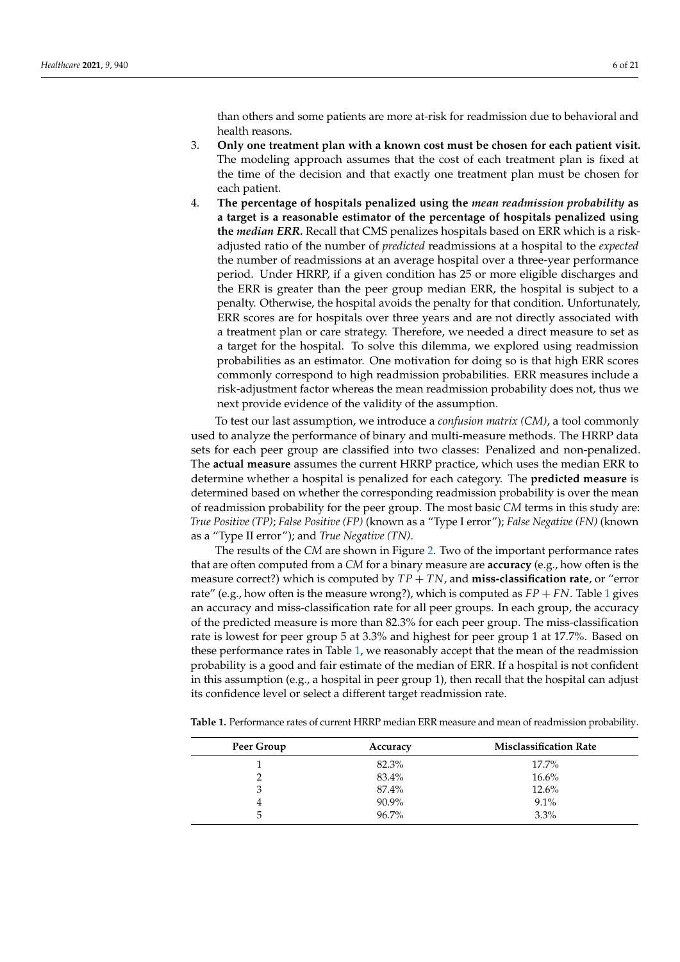than others and some patients are more at-risk for readmission due to behavioral and health reasons.

- 3. **Only one treatment plan with a known cost must be chosen for each patient visit.** The modeling approach assumes that the cost of each treatment plan is fixed at the time of the decision and that exactly one treatment plan must be chosen for each patient.
- 4. **The percentage of hospitals penalized using the** *mean readmission probability* **as a target is a reasonable estimator of the percentage of hospitals penalized using the** *median ERR.* Recall that CMS penalizes hospitals based on ERR which is a riskadjusted ratio of the number of *predicted* readmissions at a hospital to the *expected* the number of readmissions at an average hospital over a three-year performance period. Under HRRP, if a given condition has 25 or more eligible discharges and the ERR is greater than the peer group median ERR, the hospital is subject to a penalty. Otherwise, the hospital avoids the penalty for that condition. Unfortunately, ERR scores are for hospitals over three years and are not directly associated with a treatment plan or care strategy. Therefore, we needed a direct measure to set as a target for the hospital. To solve this dilemma, we explored using readmission probabilities as an estimator. One motivation for doing so is that high ERR scores commonly correspond to high readmission probabilities. ERR measures include a risk-adjustment factor whereas the mean readmission probability does not, thus we next provide evidence of the validity of the assumption.

To test our last assumption, we introduce a *confusion matrix (CM)*, a tool commonly used to analyze the performance of binary and multi-measure methods. The HRRP data sets for each peer group are classified into two classes: Penalized and non-penalized. The **actual measure** assumes the current HRRP practice, which uses the median ERR to determine whether a hospital is penalized for each category. The **predicted measure** is determined based on whether the corresponding readmission probability is over the mean of readmission probability for the peer group. The most basic *CM* terms in this study are: *True Positive (TP)*; *False Positive (FP)* (known as a "Type I error"); *False Negative (FN)* (known as a "Type II error"); and *True Negative (TN)*.

The results of the *CM* are shown in Figure [2.](#page-6-0) Two of the important performance rates that are often computed from a *CM* for a binary measure are **accuracy** (e.g., how often is the measure correct?) which is computed by *TP* + *TN*, and **miss-classification rate**, or "error rate" (e.g., how often is the measure wrong?), which is computed as  $FP + FN$ . Table [1](#page-5-0) gives an accuracy and miss-classification rate for all peer groups. In each group, the accuracy of the predicted measure is more than 82.3% for each peer group. The miss-classification rate is lowest for peer group 5 at 3.3% and highest for peer group 1 at 17.7%. Based on these performance rates in Table [1,](#page-5-0) we reasonably accept that the mean of the readmission probability is a good and fair estimate of the median of ERR. If a hospital is not confident in this assumption (e.g., a hospital in peer group 1), then recall that the hospital can adjust its confidence level or select a different target readmission rate.

| Peer Group | Accuracy | <b>Misclassification Rate</b> |
|------------|----------|-------------------------------|
|            | 82.3%    | $17.7\%$                      |
|            | 83.4%    | 16.6%                         |
|            | 87.4%    | 12.6%                         |
|            | 90.9%    | $9.1\%$                       |
| 5          | $96.7\%$ | 3.3%                          |

<span id="page-5-0"></span>**Table 1.** Performance rates of current HRRP median ERR measure and mean of readmission probability.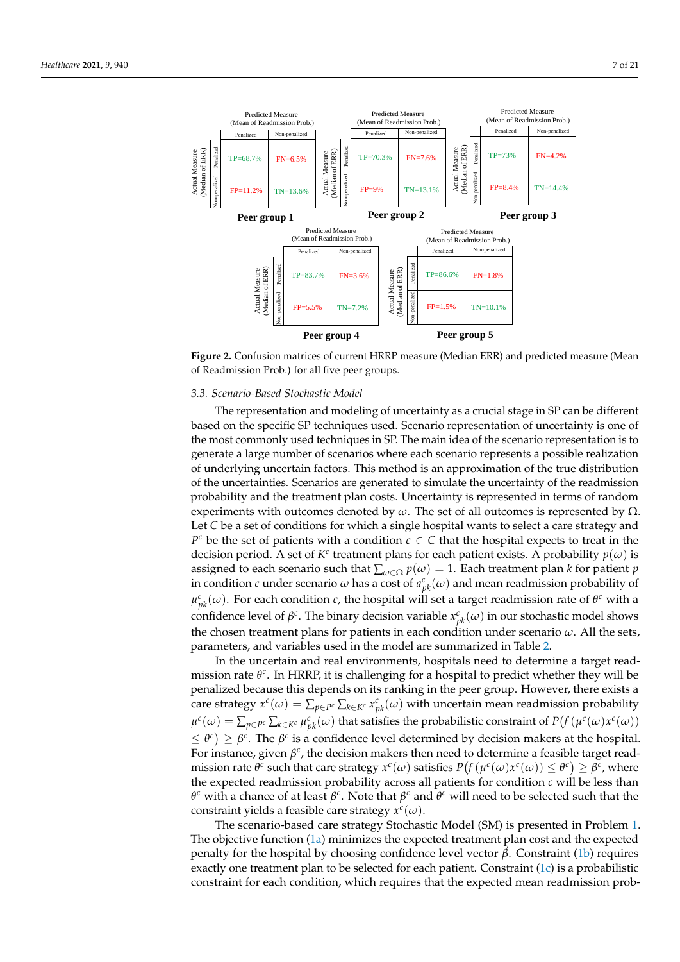<span id="page-6-0"></span>

**Figure 2.** Confusion matrices of current HRRP measure (Median ERR) and predicted measure (Mean of Readmission Prob.) for all five peer groups.

## *3.3. Scenario-Based Stochastic Model*

The representation and modeling of uncertainty as a crucial stage in SP can be different based on the specific SP techniques used. Scenario representation of uncertainty is one of the most commonly used techniques in SP. The main idea of the scenario representation is to generate a large number of scenarios where each scenario represents a possible realization of underlying uncertain factors. This method is an approximation of the true distribution of the uncertainties. Scenarios are generated to simulate the uncertainty of the readmission probability and the treatment plan costs. Uncertainty is represented in terms of random experiments with outcomes denoted by  $ω$ . The set of all outcomes is represented by  $Ω$ . Let *C* be a set of conditions for which a single hospital wants to select a care strategy and  $P^c$  be the set of patients with a condition  $c \in C$  that the hospital expects to treat in the decision period. A set of  $K^c$  treatment plans for each patient exists. A probability  $p(\omega)$  is assigned to each scenario such that  $\sum_{\omega \in \Omega} p(\omega) = 1$ . Each treatment plan *k* for patient *p* in condition *c* under scenario  $\omega$  has a cost of  $a_{pk}^c(\omega)$  and mean readmission probability of  $μ<sup>c</sup><sub>pk</sub>(ω)$ . For each condition *c*, the hospital will set a target readmission rate of  $θ<sup>c</sup>$  with a confidence level of  $\beta^c$ . The binary decision variable  $x_{pk}^c(\omega)$  in our stochastic model shows the chosen treatment plans for patients in each condition under scenario *ω*. All the sets, parameters, and variables used in the model are summarized in Table [2.](#page-7-0)

In the uncertain and real environments, hospitals need to determine a target readmission rate θ<sup>c</sup>. In HRRP, it is challenging for a hospital to predict whether they will be penalized because this depends on its ranking in the peer group. However, there exists a care strategy  $x^c(\omega) = \sum_{p \in P^c} \sum_{k \in K^c} x_{pk}^c(\omega)$  with uncertain mean readmission probability  $\mu^c(\omega)=\sum_{p\in P^c}\sum_{k\in K^c}\mu_{pk}^c(\omega)$  that satisfies the probabilistic constraint of  $P\big(f(\mu^c(\omega)x^c(\omega))\big)$  $\leq \theta^c$ )  $\geq \beta^c$ . The  $\beta^c$  is a confidence level determined by decision makers at the hospital. For instance, given  $\beta^c$ , the decision makers then need to determine a feasible target read $m$  ission rate  $\theta^c$  such that care strategy  $x^c(\omega)$  satisfies  $P(f(\mu^c(\omega)x^c(\omega)) \leq \theta^c) \geq \beta^c$ , where the expected readmission probability across all patients for condition *c* will be less than *θ <sup>c</sup>* with a chance of at least *β c* . Note that *β <sup>c</sup>* and *θ <sup>c</sup>* will need to be selected such that the constraint yields a feasible care strategy  $x^c(\omega)$ .

The scenario-based care strategy Stochastic Model (SM) is presented in Problem [1.](#page-7-1) The objective function [\(1a\)](#page-7-2) minimizes the expected treatment plan cost and the expected penalty for the hospital by choosing confidence level vector  $\vec{\beta}$ . Constraint [\(1b\)](#page-7-3) requires exactly one treatment plan to be selected for each patient. Constraint [\(1c\)](#page-7-4) is a probabilistic constraint for each condition, which requires that the expected mean readmission prob-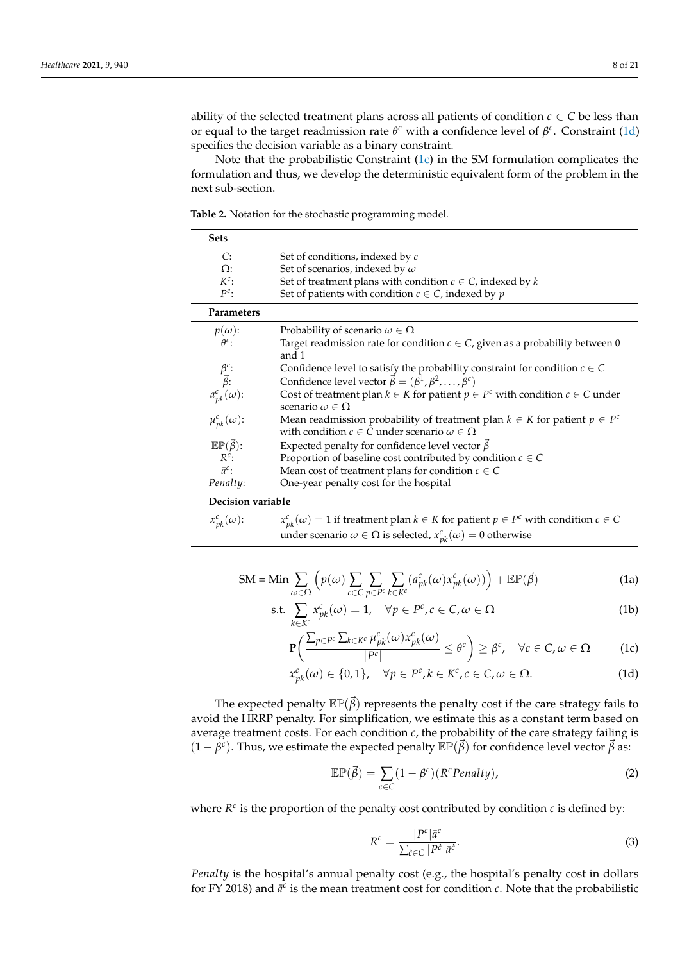Note that the probabilistic Constraint  $(1c)$  in the SM formulation complicates the formulation and thus, we develop the deterministic equivalent form of the problem in the next sub-section.

<span id="page-7-0"></span>**Table 2.** Notation for the stochastic programming model.

| <b>Sets</b>                                                                                    |                                                                                                                                                 |  |
|------------------------------------------------------------------------------------------------|-------------------------------------------------------------------------------------------------------------------------------------------------|--|
| C:                                                                                             | Set of conditions, indexed by c                                                                                                                 |  |
| $\Omega$ :                                                                                     | Set of scenarios, indexed by $\omega$                                                                                                           |  |
| $K^c$ :                                                                                        | Set of treatment plans with condition $c \in C$ , indexed by k                                                                                  |  |
| $P^c$ :                                                                                        | Set of patients with condition $c \in C$ , indexed by p                                                                                         |  |
| Parameters                                                                                     |                                                                                                                                                 |  |
| $p(\omega)$ :                                                                                  | Probability of scenario $\omega \in \Omega$                                                                                                     |  |
| $\theta^c$ :                                                                                   | Target readmission rate for condition $c \in C$ , given as a probability between 0<br>and 1                                                     |  |
|                                                                                                | Confidence level to satisfy the probability constraint for condition $c \in C$                                                                  |  |
|                                                                                                | Confidence level vector $\vec{\beta} = (\beta^1, \beta^2, , \beta^c)$                                                                           |  |
| $\begin{array}{c} \beta^c \colon \\ \vec{\beta} \colon \\ a^c_{pk}(\omega) \colon \end{array}$ | Cost of treatment plan $k \in K$ for patient $p \in P^c$ with condition $c \in C$ under<br>scenario $\omega \in \Omega$                         |  |
| $\mu_{pk}^c(\omega)$ :                                                                         | Mean readmission probability of treatment plan $k \in K$ for patient $p \in P^c$<br>with condition $c \in C$ under scenario $\omega \in \Omega$ |  |
| $\mathbb{EP}(\vec{\beta})$ :                                                                   | Expected penalty for confidence level vector $\vec{\beta}$                                                                                      |  |
| $R^c$ :                                                                                        | Proportion of baseline cost contributed by condition $c \in C$                                                                                  |  |
| $\bar{a}^c$ :                                                                                  | Mean cost of treatment plans for condition $c \in C$                                                                                            |  |
| Penalty:                                                                                       | One-year penalty cost for the hospital                                                                                                          |  |
| Decision variable                                                                              |                                                                                                                                                 |  |
| $x_{nk}^c(\omega)$ :                                                                           | $x_{nk}^c(\omega) = 1$ if treatment plan $k \in K$ for patient $p \in P^c$ with condition $c \in C$                                             |  |

<span id="page-7-1"></span>
$$
SM = Min \sum_{\omega \in \Omega} \left( p(\omega) \sum_{c \in C} \sum_{p \in P^c} \sum_{k \in K^c} (a_{pk}^c(\omega) x_{pk}^c(\omega)) \right) + \mathbb{E} \mathbb{P}(\vec{\beta}) \tag{1a}
$$

under scenario  $\omega \in \Omega$  is selected,  $x_{pk}^c(\omega) = 0$  otherwise

$$
\text{s.t.} \sum_{k \in K^c} x_{pk}^c(\omega) = 1, \quad \forall p \in P^c, c \in C, \omega \in \Omega \tag{1b}
$$

<span id="page-7-3"></span><span id="page-7-2"></span>
$$
\mathbf{P}\left(\frac{\sum_{p\in P^c}\sum_{k\in K^c}\mu_{pk}^c(\omega)x_{pk}^c(\omega)}{|P^c|}\leq\theta^c\right)\geq\beta^c,\quad\forall c\in\mathbb{C},\omega\in\Omega\qquad(1c)
$$

$$
x_{pk}^{c}(\omega) \in \{0,1\}, \quad \forall p \in P^{c}, k \in K^{c}, c \in C, \omega \in \Omega.
$$
 (1d)

The expected penalty  $\mathbb{E}(\vec{\beta})$  represents the penalty cost if the care strategy fails to avoid the HRRP penalty. For simplification, we estimate this as a constant term based on average treatment costs. For each condition *c*, the probability of the care strategy failing is  $(1 - \beta^c)$ . Thus, we estimate the expected penalty  $\mathbb{E} \mathbb{P}(\vec{\beta})$  for confidence level vector  $\vec{\beta}$  as:

$$
\mathbb{E}\mathbb{P}(\vec{\beta}) = \sum_{c \in C} (1 - \beta^c)(R^c\text{Penalty}),\tag{2}
$$

where  $R^c$  is the proportion of the penalty cost contributed by condition  $c$  is defined by:

<span id="page-7-5"></span><span id="page-7-4"></span>
$$
R^{c} = \frac{|P^{c}|\bar{a}^{c}}{\sum_{\hat{c}\in\mathcal{C}}|P^{\hat{c}}|\bar{a}^{\hat{c}}}.
$$
\n(3)

*Penalty* is the hospital's annual penalty cost (e.g., the hospital's penalty cost in dollars for FY 2018) and  $\bar{a}^c$  is the mean treatment cost for condition  $c$ . Note that the probabilistic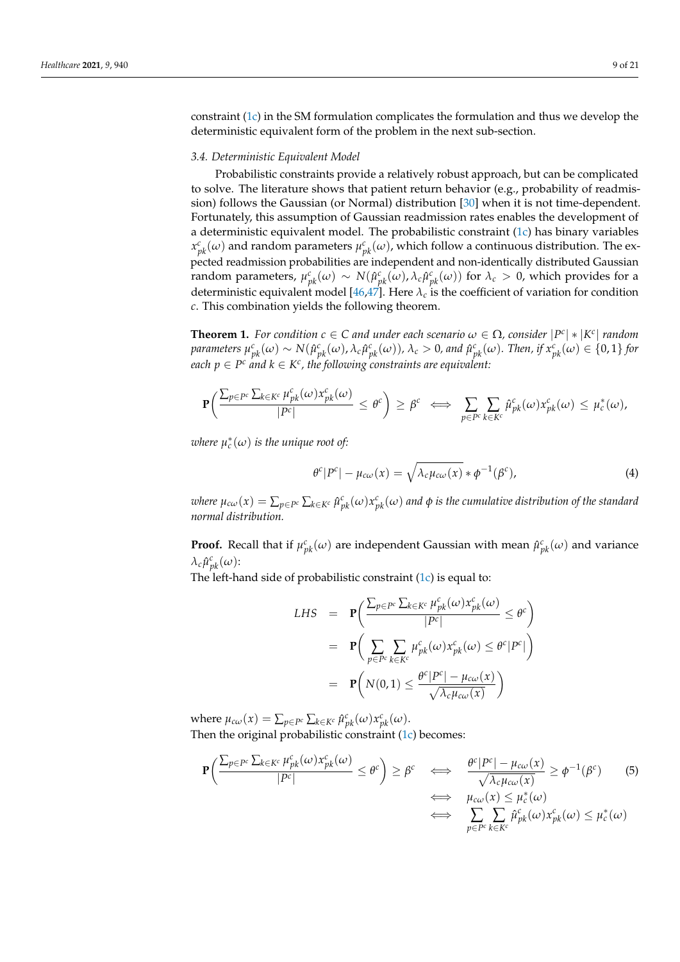constraint [\(1c\)](#page-7-4) in the SM formulation complicates the formulation and thus we develop the deterministic equivalent form of the problem in the next sub-section.

## <span id="page-8-1"></span>*3.4. Deterministic Equivalent Model*

Probabilistic constraints provide a relatively robust approach, but can be complicated to solve. The literature shows that patient return behavior (e.g., probability of readmission) follows the Gaussian (or Normal) distribution [\[30\]](#page-20-7) when it is not time-dependent. Fortunately, this assumption of Gaussian readmission rates enables the development of a deterministic equivalent model. The probabilistic constraint  $(1c)$  has binary variables  $x^c_{pk}(\omega)$  and random parameters  $\mu^c_{pk}(\omega)$ , which follow a continuous distribution. The expected readmission probabilities are independent and non-identically distributed Gaussian random parameters,  $\mu_{pk}^c(\omega) \sim N(\hat{\mu}_{pk}^c(\omega), \lambda_c \hat{\mu}_{pk}^c(\omega))$  for  $\lambda_c > 0$ , which provides for a deterministic equivalent model [\[46,](#page-20-22)[47\]](#page-20-23). Here  $\lambda_c$  is the coefficient of variation for condition *c*. This combination yields the following theorem.

**Theorem 1.** For condition  $c \in C$  and under each scenario  $\omega \in \Omega$ , consider  $|P^c| * |K^c|$  random parameters  $\mu_{pk}^c(\omega)\sim N(\hat{\mu}_{pk}^c(\omega),\lambda_c\hat{\mu}_{pk}^c(\omega)),$   $\lambda_c>0$ , and  $\hat{\mu}_{pk}^c(\omega)$ . Then, if  $x_{pk}^c(\omega)\in\{0,1\}$  for  $\mathit{each}\ p \in P^c$  and  $k \in K^c$  , the following constraints are equivalent:

$$
\mathbf{P}\left(\frac{\sum_{p\in P^c}\sum_{k\in K^c}\mu_{pk}^c(\omega)x_{pk}^c(\omega)}{|P^c|}\leq\theta^c\right)\geq\beta^c\iff\sum_{p\in P^c}\sum_{k\in K^c}\hat{\mu}_{pk}^c(\omega)x_{pk}^c(\omega)\leq\mu_c^*(\omega),
$$

*where*  $\mu_c^*(\omega)$  *is the unique root of:* 

$$
\theta^{c}|P^{c}| - \mu_{c\omega}(x) = \sqrt{\lambda_{c}\mu_{c\omega}(x)} * \phi^{-1}(\beta^{c}), \qquad (4)
$$

where  $\mu_{c\omega}(x)=\sum_{p\in P^c}\sum_{k\in K^c}\hat{\mu}^c_{pk}(\omega)x^c_{pk}(\omega)$  and  $\phi$  is the cumulative distribution of the standard *normal distribution.*

**Proof.** Recall that if  $\mu_{pk}^c(\omega)$  are independent Gaussian with mean  $\hat{\mu}_{pk}^c(\omega)$  and variance  $λ_c ρ<sup>c</sup><sub>pk</sub>(ω)$ :

The left-hand side of probabilistic constraint [\(1c\)](#page-7-4) is equal to:

LHS = 
$$
\mathbf{P}\left(\frac{\sum_{p \in P^c} \sum_{k \in K^c} \mu_{pk}^c(\omega) x_{pk}^c(\omega)}{|P^c|} \leq \theta^c\right)
$$
  
\n=  $\mathbf{P}\left(\sum_{p \in P^c} \sum_{k \in K^c} \mu_{pk}^c(\omega) x_{pk}^c(\omega) \leq \theta^c |P^c|\right)$   
\n=  $\mathbf{P}\left(N(0,1) \leq \frac{\theta^c |P^c| - \mu_{c\omega}(x)}{\sqrt{\lambda_c \mu_{c\omega}(x)}}$ 

where  $\mu_{c\omega}(x) = \sum_{p \in P^c} \sum_{k \in K^c} \hat{\mu}_{pk}^c(\omega) x_{pk}^c(\omega)$ . Then the original probabilistic constraint  $(1c)$  becomes:

<span id="page-8-0"></span>
$$
\mathbf{P}\left(\frac{\sum_{p \in P^c} \sum_{k \in K^c} \mu_{pk}^c(\omega) x_{pk}^c(\omega)}{|P^c|} \leq \theta^c\right) \geq \beta^c \iff \frac{\theta^c |P^c| - \mu_{c\omega}(x)}{\sqrt{\lambda_c \mu_{c\omega}(x)}} \geq \phi^{-1}(\beta^c) \tag{5}
$$
\n
$$
\iff \mu_{c\omega}(x) \leq \mu_c^*(\omega)
$$
\n
$$
\iff \sum_{p \in P^c} \sum_{k \in K^c} \hat{\mu}_{pk}^c(\omega) x_{pk}^c(\omega) \leq \mu_c^*(\omega)
$$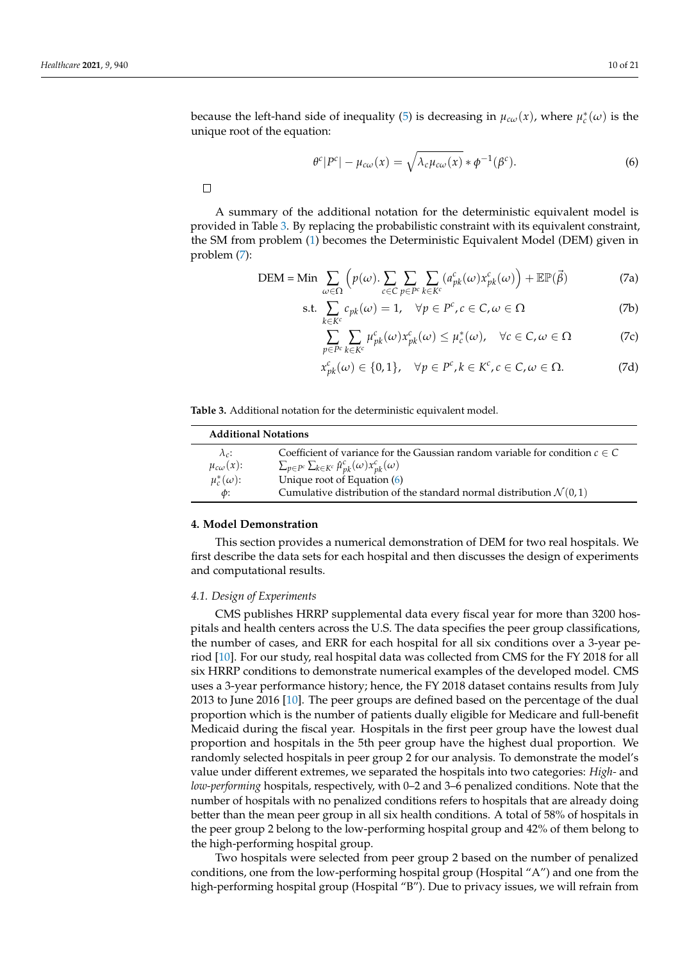because the left-hand side of inequality [\(5\)](#page-8-0) is decreasing in  $\mu_{c\omega}(x)$ , where  $\mu_c^*(\omega)$  is the unique root of the equation:

<span id="page-9-2"></span>
$$
\theta^{c}|P^{c}| - \mu_{c\omega}(x) = \sqrt{\lambda_{c}\mu_{c\omega}(x)} * \phi^{-1}(\beta^{c}).
$$
\n(6)

 $\Box$ 

A summary of the additional notation for the deterministic equivalent model is provided in Table [3.](#page-9-0) By replacing the probabilistic constraint with its equivalent constraint, the SM from problem [\(1\)](#page-7-1) becomes the Deterministic Equivalent Model (DEM) given in problem [\(7\)](#page-9-1):

<span id="page-9-1"></span>
$$
\text{DEM} = \text{Min} \sum_{\omega \in \Omega} \left( p(\omega) \cdot \sum_{c \in C} \sum_{p \in P^c} \sum_{k \in K^c} (a_{pk}^c(\omega) x_{pk}^c(\omega)) + \mathbb{E} \mathbb{P}(\vec{\beta}) \right)
$$
(7a)

$$
\text{s.t. } \sum_{k \in K^c} c_{pk}(\omega) = 1, \quad \forall p \in P^c, c \in C, \omega \in \Omega \tag{7b}
$$

$$
\sum_{p \in P^c} \sum_{k \in K^c} \mu_{pk}^c(\omega) x_{pk}^c(\omega) \le \mu_c^*(\omega), \quad \forall c \in C, \omega \in \Omega \tag{7c}
$$

<span id="page-9-3"></span>
$$
x_{pk}^c(\omega) \in \{0,1\}, \quad \forall p \in P^c, k \in K^c, c \in C, \omega \in \Omega.
$$
 (7d)

<span id="page-9-0"></span>

| Table 3. Additional notation for the deterministic equivalent model. |
|----------------------------------------------------------------------|
|----------------------------------------------------------------------|

| <b>Additional Notations</b> |                                                                                  |  |  |
|-----------------------------|----------------------------------------------------------------------------------|--|--|
| $\lambda_c$ :               | Coefficient of variance for the Gaussian random variable for condition $c \in C$ |  |  |
| $\mu_{c\omega}(x)$ :        | $\sum_{p\in P^c}\sum_{k\in K^c}\hat{\mu}_{pk}^c(\omega)x_{pk}^c(\omega)$         |  |  |
| $\mu_c^*(\omega)$ :         | Unique root of Equation (6)                                                      |  |  |
| $\phi$ :                    | Cumulative distribution of the standard normal distribution $\mathcal{N}(0,1)$   |  |  |

## **4. Model Demonstration**

This section provides a numerical demonstration of DEM for two real hospitals. We first describe the data sets for each hospital and then discusses the design of experiments and computational results.

#### *4.1. Design of Experiments*

CMS publishes HRRP supplemental data every fiscal year for more than 3200 hospitals and health centers across the U.S. The data specifies the peer group classifications, the number of cases, and ERR for each hospital for all six conditions over a 3-year period [\[10\]](#page-19-9). For our study, real hospital data was collected from CMS for the FY 2018 for all six HRRP conditions to demonstrate numerical examples of the developed model. CMS uses a 3-year performance history; hence, the FY 2018 dataset contains results from July 2013 to June 2016 [\[10\]](#page-19-9). The peer groups are defined based on the percentage of the dual proportion which is the number of patients dually eligible for Medicare and full-benefit Medicaid during the fiscal year. Hospitals in the first peer group have the lowest dual proportion and hospitals in the 5th peer group have the highest dual proportion. We randomly selected hospitals in peer group 2 for our analysis. To demonstrate the model's value under different extremes, we separated the hospitals into two categories: *High-* and *low-performing* hospitals, respectively, with 0–2 and 3–6 penalized conditions. Note that the number of hospitals with no penalized conditions refers to hospitals that are already doing better than the mean peer group in all six health conditions. A total of 58% of hospitals in the peer group 2 belong to the low-performing hospital group and 42% of them belong to the high-performing hospital group.

Two hospitals were selected from peer group 2 based on the number of penalized conditions, one from the low-performing hospital group (Hospital "A") and one from the high-performing hospital group (Hospital "B"). Due to privacy issues, we will refrain from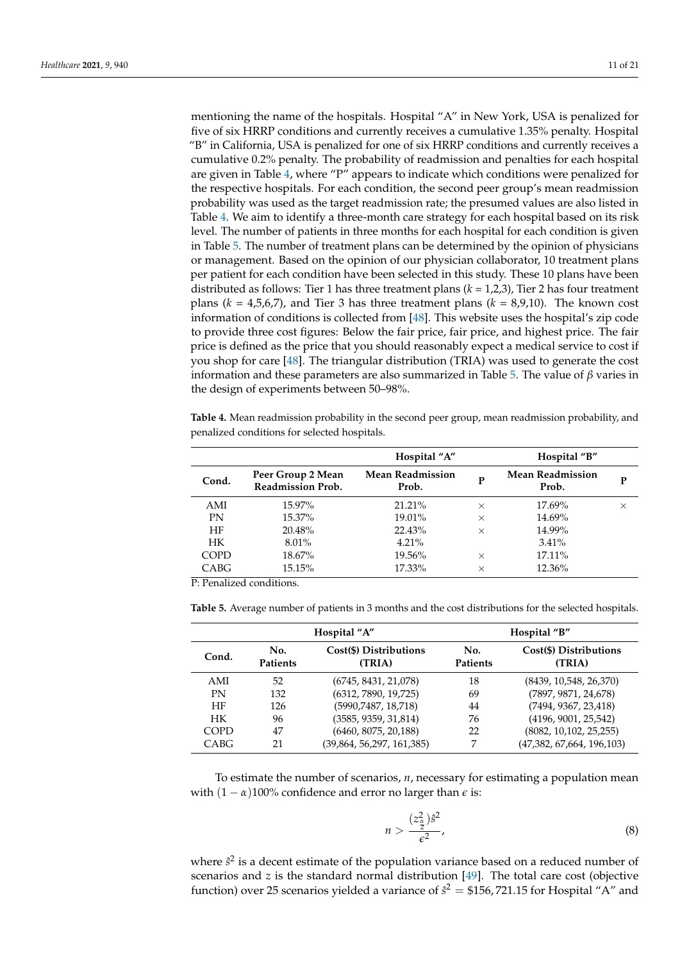mentioning the name of the hospitals. Hospital "A" in New York, USA is penalized for five of six HRRP conditions and currently receives a cumulative 1.35% penalty. Hospital "B" in California, USA is penalized for one of six HRRP conditions and currently receives a cumulative 0.2% penalty. The probability of readmission and penalties for each hospital are given in Table [4,](#page-10-0) where "P" appears to indicate which conditions were penalized for the respective hospitals. For each condition, the second peer group's mean readmission probability was used as the target readmission rate; the presumed values are also listed in Table [4.](#page-10-0) We aim to identify a three-month care strategy for each hospital based on its risk level. The number of patients in three months for each hospital for each condition is given in Table [5.](#page-10-1) The number of treatment plans can be determined by the opinion of physicians or management. Based on the opinion of our physician collaborator, 10 treatment plans per patient for each condition have been selected in this study. These 10 plans have been distributed as follows: Tier 1 has three treatment plans (*k* = 1,2,3), Tier 2 has four treatment plans (*k* = 4,5,6,7), and Tier 3 has three treatment plans (*k* = 8,9,10). The known cost information of conditions is collected from [\[48\]](#page-20-24). This website uses the hospital's zip code to provide three cost figures: Below the fair price, fair price, and highest price. The fair price is defined as the price that you should reasonably expect a medical service to cost if you shop for care [\[48\]](#page-20-24). The triangular distribution (TRIA) was used to generate the cost information and these parameters are also summarized in Table [5.](#page-10-1) The value of *β* varies in the design of experiments between 50–98%.

<span id="page-10-0"></span>**Table 4.** Mean readmission probability in the second peer group, mean readmission probability, and penalized conditions for selected hospitals.

|             |                                               | Hospital "A"                     |          | Hospital "B"                     |          |
|-------------|-----------------------------------------------|----------------------------------|----------|----------------------------------|----------|
| Cond.       | Peer Group 2 Mean<br><b>Readmission Prob.</b> | <b>Mean Readmission</b><br>Prob. | P        | <b>Mean Readmission</b><br>Prob. | P        |
| AMI         | 15.97%                                        | $21.21\%$                        | $\times$ | 17.69%                           | $\times$ |
| <b>PN</b>   | 15.37%                                        | 19.01%                           | $\times$ | 14.69%                           |          |
| HF          | 20.48%                                        | 22.43%                           | $\times$ | 14.99%                           |          |
| <b>HK</b>   | 8.01%                                         | $4.21\%$                         |          | 3.41%                            |          |
| <b>COPD</b> | 18.67%                                        | 19.56%                           | $\times$ | 17.11%                           |          |
| CABG        | 15.15%                                        | 17.33%                           | $\times$ | 12.36%                           |          |

P: Penalized conditions.

<span id="page-10-1"></span>**Table 5.** Average number of patients in 3 months and the cost distributions for the selected hospitals.

|             | Hospital "A"           |                                  | Hospital "B"           |                                  |
|-------------|------------------------|----------------------------------|------------------------|----------------------------------|
| Cond.       | No.<br><b>Patients</b> | Cost(\$) Distributions<br>(TRIA) | No.<br><b>Patients</b> | Cost(\$) Distributions<br>(TRIA) |
| AMI         | 52                     | (6745, 8431, 21,078)             | 18                     | (8439, 10,548, 26,370)           |
| PN          | 132                    | (6312, 7890, 19, 725)            | 69                     | (7897, 9871, 24, 678)            |
| HF          | 126                    | (5990, 7487, 18, 718)            | 44                     | (7494, 9367, 23,418)             |
| <b>HK</b>   | 96                     | (3585, 9359, 31, 814)            | 76                     | (4196, 9001, 25, 542)            |
| <b>COPD</b> | 47                     | (6460, 8075, 20,188)             | 22                     | (8082, 10, 102, 25, 255)         |
| CABG        | 21                     | (39,864, 56,297, 161,385)        |                        | (47,382, 67,664, 196,103)        |

To estimate the number of scenarios, *n*, necessary for estimating a population mean with  $(1 - \alpha)100\%$  confidence and error no larger than  $\epsilon$  is:

<span id="page-10-2"></span>
$$
n > \frac{(z_{\frac{\alpha}{2}}^2)\hat{s}^2}{\epsilon^2},\tag{8}
$$

where  $\hat{s}^2$  is a decent estimate of the population variance based on a reduced number of scenarios and *z* is the standard normal distribution [\[49\]](#page-20-25). The total care cost (objective function) over 25 scenarios yielded a variance of  $\hat{s}^2 = $156, 721.15$  for Hospital "A" and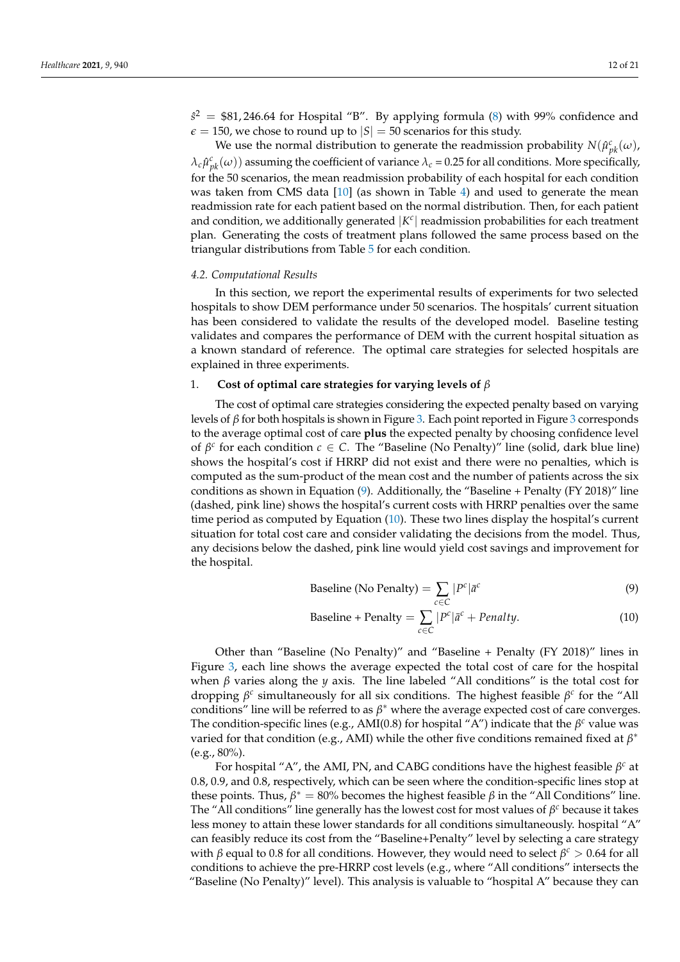$\hat{s}^2 = $81,246.64$  for Hospital "B". By applying formula [\(8\)](#page-10-2) with 99% confidence and  $\epsilon = 150$ , we chose to round up to  $|S| = 50$  scenarios for this study.

We use the normal distribution to generate the readmission probability  $N(\hat{\mu}^c_{pk}(\omega))$  $\lambda_c \hat{\mu}^c_{pk}(\omega)$ ) assuming the coefficient of variance  $\lambda_c$  = 0.25 for all conditions. More specifically, for the 50 scenarios, the mean readmission probability of each hospital for each condition was taken from CMS data [\[10\]](#page-19-9) (as shown in Table [4\)](#page-10-0) and used to generate the mean readmission rate for each patient based on the normal distribution. Then, for each patient and condition, we additionally generated  $|K^c|$  readmission probabilities for each treatment plan. Generating the costs of treatment plans followed the same process based on the triangular distributions from Table [5](#page-10-1) for each condition.

## *4.2. Computational Results*

In this section, we report the experimental results of experiments for two selected hospitals to show DEM performance under 50 scenarios. The hospitals' current situation has been considered to validate the results of the developed model. Baseline testing validates and compares the performance of DEM with the current hospital situation as a known standard of reference. The optimal care strategies for selected hospitals are explained in three experiments.

# 1. **Cost of optimal care strategies for varying levels of** *β*

The cost of optimal care strategies considering the expected penalty based on varying levels of *β* for both hospitals is shown in Figure [3.](#page-12-0) Each point reported in Figure [3](#page-12-0) corresponds to the average optimal cost of care **plus** the expected penalty by choosing confidence level of  $\beta^c$  for each condition  $c \in C$ . The "Baseline (No Penalty)" line (solid, dark blue line) shows the hospital's cost if HRRP did not exist and there were no penalties, which is computed as the sum-product of the mean cost and the number of patients across the six conditions as shown in Equation [\(9\)](#page-11-0). Additionally, the "Baseline + Penalty (FY 2018)" line (dashed, pink line) shows the hospital's current costs with HRRP penalties over the same time period as computed by Equation [\(10\)](#page-11-1). These two lines display the hospital's current situation for total cost care and consider validating the decisions from the model. Thus, any decisions below the dashed, pink line would yield cost savings and improvement for the hospital.

<span id="page-11-0"></span>
$$
\text{Baseline (No Penalty)} = \sum_{c \in C} |P^c| \bar{a}^c \tag{9}
$$

<span id="page-11-1"></span>
$$
\text{Baseline} + \text{Penalty} = \sum_{c \in C} |P^c| \bar{a}^c + \text{Penalty.} \tag{10}
$$

Other than "Baseline (No Penalty)" and "Baseline + Penalty (FY 2018)" lines in Figure [3,](#page-12-0) each line shows the average expected the total cost of care for the hospital when *β* varies along the *y* axis. The line labeled "All conditions" is the total cost for dropping *β c* simultaneously for all six conditions. The highest feasible *β c* for the "All conditions" line will be referred to as  $\beta^*$  where the average expected cost of care converges. The condition-specific lines (e.g., AMI(0.8) for hospital "A") indicate that the  $\beta^c$  value was varied for that condition (e.g., AMI) while the other five conditions remained fixed at *β* ∗ (e.g., 80%).

For hospital "A", the AMI, PN, and CABG conditions have the highest feasible *β <sup>c</sup>* at 0.8, 0.9, and 0.8, respectively, which can be seen where the condition-specific lines stop at these points. Thus,  $β^* = 80\%$  becomes the highest feasible  $β$  in the "All Conditions" line. The "All conditions" line generally has the lowest cost for most values of *β<sup>c</sup>* because it takes less money to attain these lower standards for all conditions simultaneously. hospital "A" can feasibly reduce its cost from the "Baseline+Penalty" level by selecting a care strategy with *β* equal to 0.8 for all conditions. However, they would need to select *β <sup>c</sup>* > 0.64 for all conditions to achieve the pre-HRRP cost levels (e.g., where "All conditions" intersects the "Baseline (No Penalty)" level). This analysis is valuable to "hospital A" because they can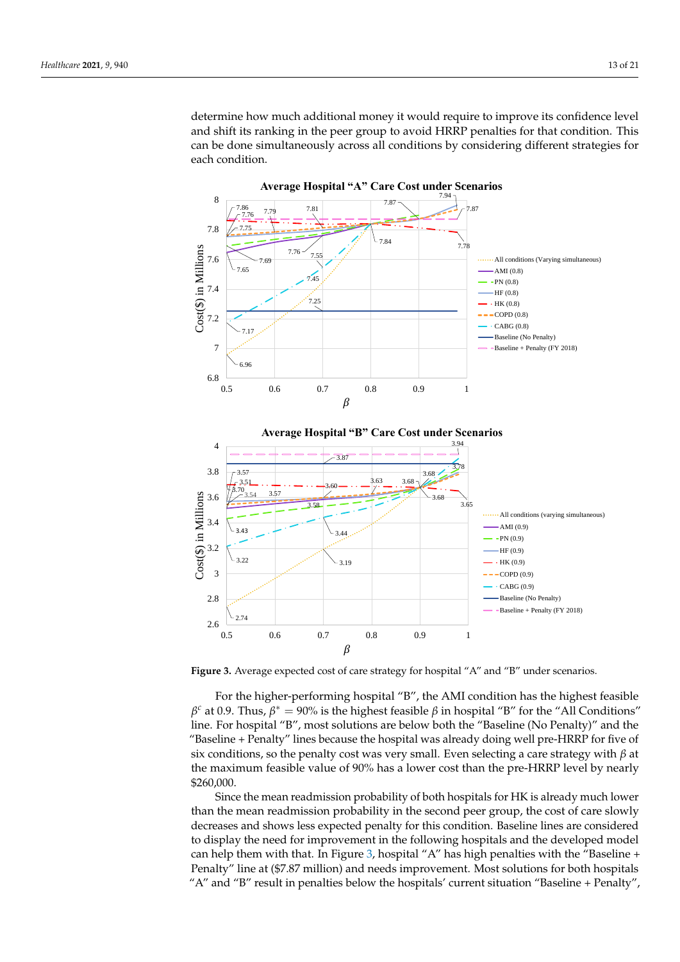determine how much additional money it would require to improve its confidence level and shift its ranking in the peer group to avoid HRRP penalties for that condition. This can be done simultaneously across all conditions by considering different strategies for each condition.

<span id="page-12-0"></span>



**Figure 3.** Average expected cost of care strategy for hospital "A" and "B" under scenarios.

For the higher-performing hospital "B", the AMI condition has the highest feasible  $β<sup>c</sup>$  at 0.9. Thus,  $β<sup>*</sup> = 90%$  is the highest feasible  $β$  in hospital "B" for the "All Conditions" line. For hospital "B", most solutions are below both the "Baseline (No Penalty)" and the "Baseline + Penalty" lines because the hospital was already doing well pre-HRRP for five of six conditions, so the penalty cost was very small. Even selecting a care strategy with *β* at the maximum feasible value of 90% has a lower cost than the pre-HRRP level by nearly \$260,000.

Since the mean readmission probability of both hospitals for HK is already much lower than the mean readmission probability in the second peer group, the cost of care slowly decreases and shows less expected penalty for this condition. Baseline lines are considered to display the need for improvement in the following hospitals and the developed model can help them with that. In Figure [3,](#page-12-0) hospital "A" has high penalties with the "Baseline + Penalty" line at (\$7.87 million) and needs improvement. Most solutions for both hospitals "A" and "B" result in penalties below the hospitals' current situation "Baseline + Penalty",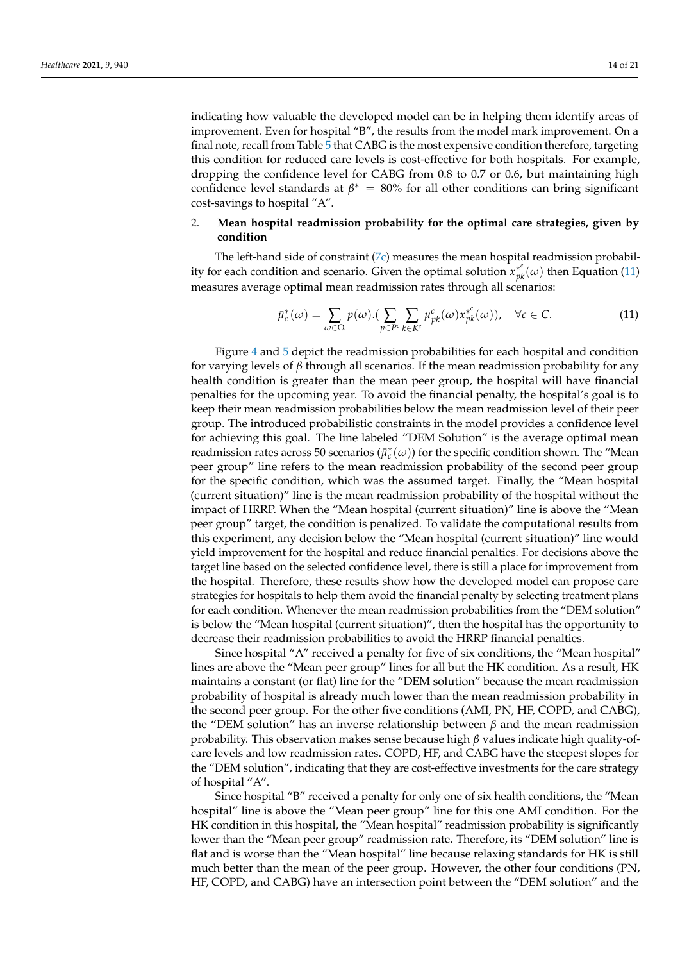indicating how valuable the developed model can be in helping them identify areas of improvement. Even for hospital "B", the results from the model mark improvement. On a final note, recall from Table [5](#page-10-1) that CABG is the most expensive condition therefore, targeting this condition for reduced care levels is cost-effective for both hospitals. For example, dropping the confidence level for CABG from 0.8 to 0.7 or 0.6, but maintaining high confidence level standards at  $\beta^* = 80\%$  for all other conditions can bring significant cost-savings to hospital "A".

# 2. **Mean hospital readmission probability for the optimal care strategies, given by condition**

The left-hand side of constraint  $(7c)$  measures the mean hospital readmission probability for each condition and scenario. Given the optimal solution  $x_{pk}^{*c}(\omega)$  then Equation [\(11\)](#page-13-0) measures average optimal mean readmission rates through all scenarios:

<span id="page-13-0"></span>
$$
\bar{\mu}_c^*(\omega) = \sum_{\omega \in \Omega} p(\omega) . (\sum_{p \in P^c} \sum_{k \in K^c} \mu_{pk}^c(\omega) x_{pk}^{*c}(\omega)), \quad \forall c \in C.
$$
 (11)

Figure [4](#page-14-0) and [5](#page-15-0) depict the readmission probabilities for each hospital and condition for varying levels of *β* through all scenarios. If the mean readmission probability for any health condition is greater than the mean peer group, the hospital will have financial penalties for the upcoming year. To avoid the financial penalty, the hospital's goal is to keep their mean readmission probabilities below the mean readmission level of their peer group. The introduced probabilistic constraints in the model provides a confidence level for achieving this goal. The line labeled "DEM Solution" is the average optimal mean readmission rates across 50 scenarios  $(\bar{\mu}_c^*(\omega))$  for the specific condition shown. The "Mean peer group" line refers to the mean readmission probability of the second peer group for the specific condition, which was the assumed target. Finally, the "Mean hospital (current situation)" line is the mean readmission probability of the hospital without the impact of HRRP. When the "Mean hospital (current situation)" line is above the "Mean peer group" target, the condition is penalized. To validate the computational results from this experiment, any decision below the "Mean hospital (current situation)" line would yield improvement for the hospital and reduce financial penalties. For decisions above the target line based on the selected confidence level, there is still a place for improvement from the hospital. Therefore, these results show how the developed model can propose care strategies for hospitals to help them avoid the financial penalty by selecting treatment plans for each condition. Whenever the mean readmission probabilities from the "DEM solution" is below the "Mean hospital (current situation)", then the hospital has the opportunity to decrease their readmission probabilities to avoid the HRRP financial penalties.

Since hospital "A" received a penalty for five of six conditions, the "Mean hospital" lines are above the "Mean peer group" lines for all but the HK condition. As a result, HK maintains a constant (or flat) line for the "DEM solution" because the mean readmission probability of hospital is already much lower than the mean readmission probability in the second peer group. For the other five conditions (AMI, PN, HF, COPD, and CABG), the "DEM solution" has an inverse relationship between *β* and the mean readmission probability. This observation makes sense because high *β* values indicate high quality-ofcare levels and low readmission rates. COPD, HF, and CABG have the steepest slopes for the "DEM solution", indicating that they are cost-effective investments for the care strategy of hospital "A".

Since hospital "B" received a penalty for only one of six health conditions, the "Mean hospital" line is above the "Mean peer group" line for this one AMI condition. For the HK condition in this hospital, the "Mean hospital" readmission probability is significantly lower than the "Mean peer group" readmission rate. Therefore, its "DEM solution" line is flat and is worse than the "Mean hospital" line because relaxing standards for HK is still much better than the mean of the peer group. However, the other four conditions (PN, HF, COPD, and CABG) have an intersection point between the "DEM solution" and the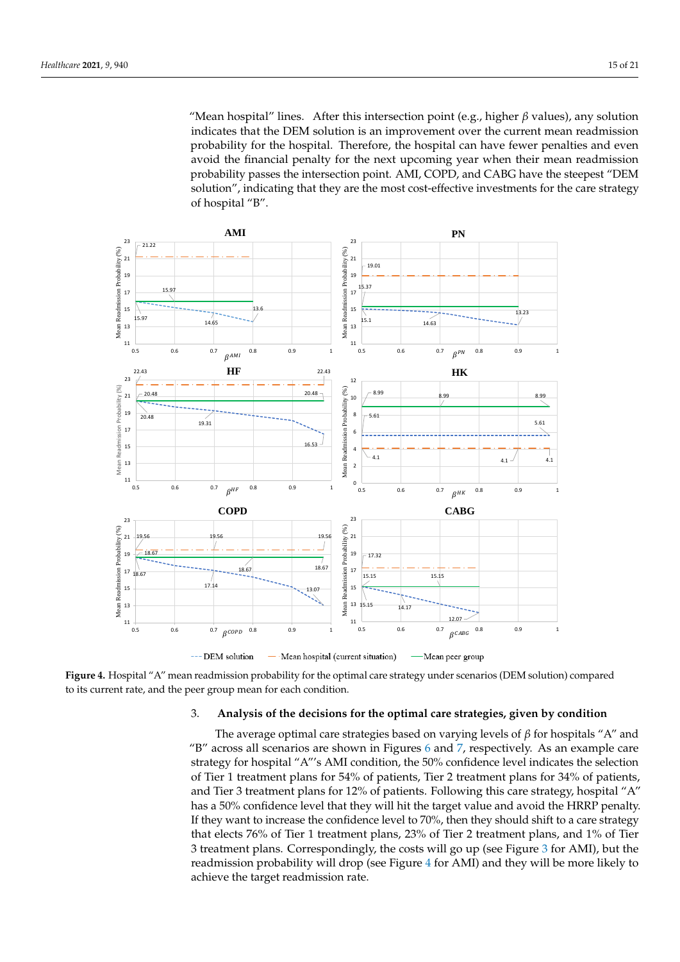"Mean hospital" lines. After this intersection point (e.g., higher *β* values), any solution indicates that the DEM solution is an improvement over the current mean readmission probability for the hospital. Therefore, the hospital can have fewer penalties and even avoid the financial penalty for the next upcoming year when their mean readmission probability passes the intersection point. AMI, COPD, and CABG have the steepest "DEM solution", indicating that they are the most cost-effective investments for the care strategy of hospital "B".

<span id="page-14-0"></span>

**Figure 4.** Hospital "A" mean readmission probability for the optimal care strategy under scenarios (DEM solution) compared to its current rate, and the peer group mean for each condition.

#### 3. **Analysis of the decisions for the optimal care strategies, given by condition**

The average optimal care strategies based on varying levels of *β* for hospitals "A" and "B" across all scenarios are shown in Figures [6](#page-16-0) and [7,](#page-16-1) respectively. As an example care strategy for hospital "A"'s AMI condition, the 50% confidence level indicates the selection of Tier 1 treatment plans for 54% of patients, Tier 2 treatment plans for 34% of patients, and Tier 3 treatment plans for 12% of patients. Following this care strategy, hospital "A" has a 50% confidence level that they will hit the target value and avoid the HRRP penalty. If they want to increase the confidence level to 70%, then they should shift to a care strategy that elects 76% of Tier 1 treatment plans, 23% of Tier 2 treatment plans, and 1% of Tier 3 treatment plans. Correspondingly, the costs will go up (see Figure [3](#page-12-0) for AMI), but the readmission probability will drop (see Figure [4](#page-14-0) for AMI) and they will be more likely to achieve the target readmission rate.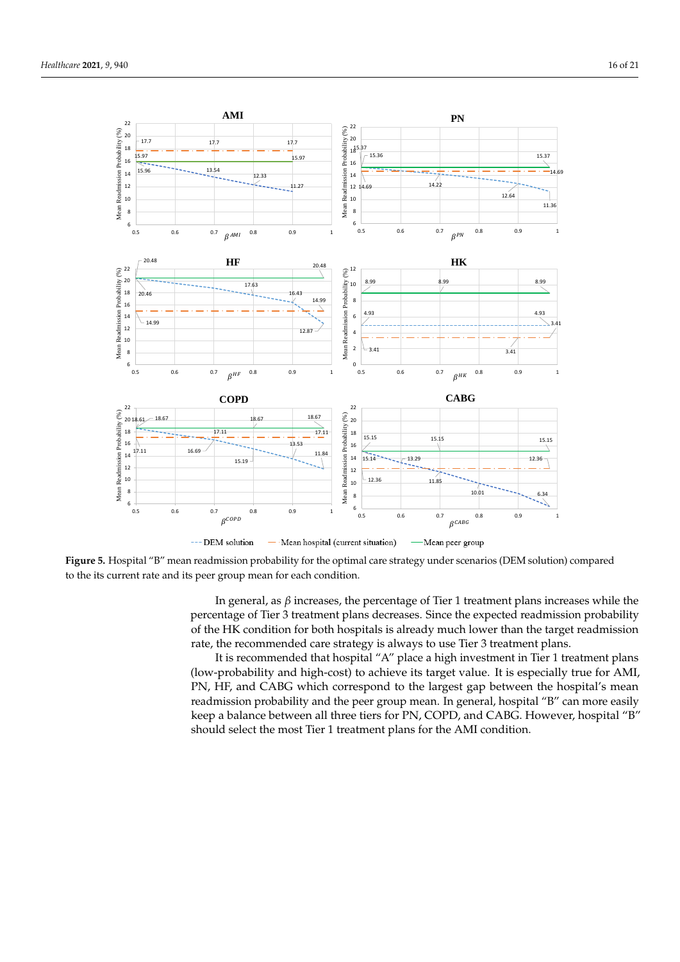17.7 17.7 17.7 15.97 15.97

**AMI**



<span id="page-15-0"></span>

15.36

15.37 18

16

.<br>20 22

Probability (%)

**Figure 5.** Hospital "B" mean readmission probability for the optimal care strategy under scenarios (DEM solution) compared to the its current rate and its peer group mean for each condition.

In general, as *β* increases, the percentage of Tier 1 treatment plans increases while the percentage of Tier 3 treatment plans decreases. Since the expected readmission probability of the HK condition for both hospitals is already much lower than the target readmission rate, the recommended care strategy is always to use Tier 3 treatment plans.

It is recommended that hospital "A" place a high investment in Tier 1 treatment plans (low-probability and high-cost) to achieve its target value. It is especially true for AMI, PN, HF, and CABG which correspond to the largest gap between the hospital's mean readmission probability and the peer group mean. In general, hospital "B" can more easily keep a balance between all three tiers for PN, COPD, and CABG. However, hospital "B" should select the most Tier 1 treatment plans for the AMI condition.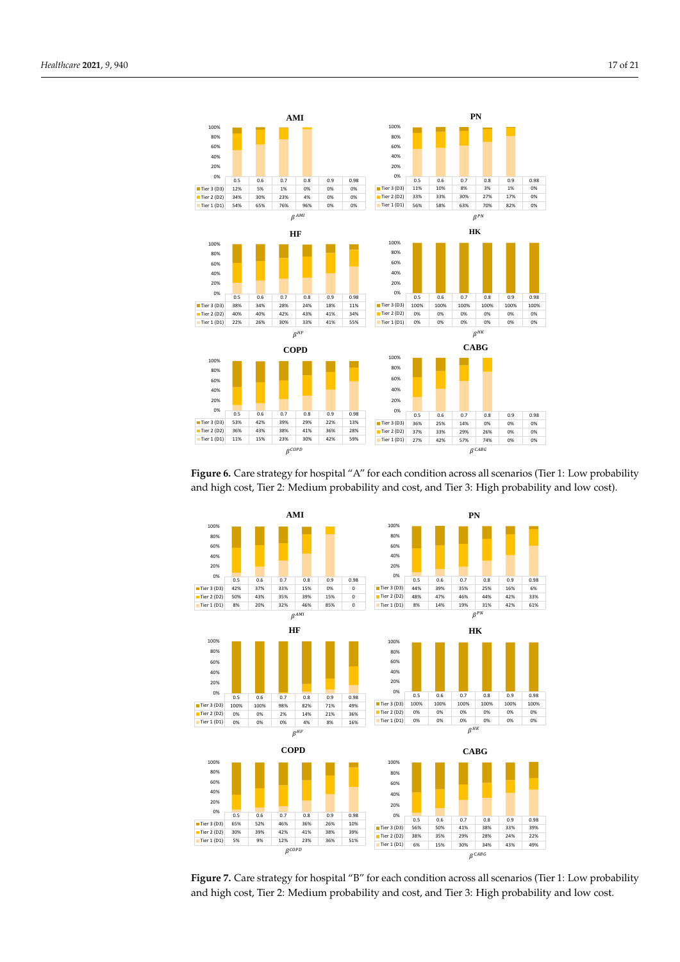<span id="page-16-0"></span>

Figure 6. Care strategy for hospital "A" for each condition across all scenarios (Tier 1: Low probability and high cost, Tier 2: Medium probability and cost, and Tier 3: High probability and low cost).

<span id="page-16-1"></span>

Figure 7. Care strategy for hospital "B" for each condition across all scenarios (Tier 1: Low probability and high cost, Tier 2: Medium probability and cost, and Tier 3: High probability and low cost.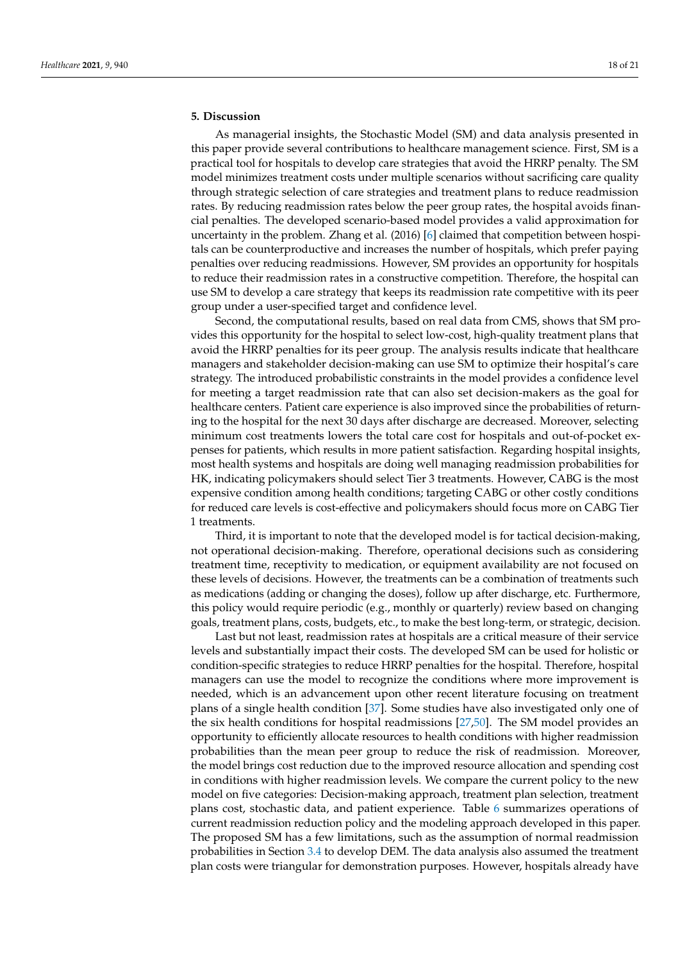# **5. Discussion**

As managerial insights, the Stochastic Model (SM) and data analysis presented in this paper provide several contributions to healthcare management science. First, SM is a practical tool for hospitals to develop care strategies that avoid the HRRP penalty. The SM model minimizes treatment costs under multiple scenarios without sacrificing care quality through strategic selection of care strategies and treatment plans to reduce readmission rates. By reducing readmission rates below the peer group rates, the hospital avoids financial penalties. The developed scenario-based model provides a valid approximation for uncertainty in the problem. Zhang et al. (2016) [\[6\]](#page-19-5) claimed that competition between hospitals can be counterproductive and increases the number of hospitals, which prefer paying penalties over reducing readmissions. However, SM provides an opportunity for hospitals to reduce their readmission rates in a constructive competition. Therefore, the hospital can use SM to develop a care strategy that keeps its readmission rate competitive with its peer group under a user-specified target and confidence level.

Second, the computational results, based on real data from CMS, shows that SM provides this opportunity for the hospital to select low-cost, high-quality treatment plans that avoid the HRRP penalties for its peer group. The analysis results indicate that healthcare managers and stakeholder decision-making can use SM to optimize their hospital's care strategy. The introduced probabilistic constraints in the model provides a confidence level for meeting a target readmission rate that can also set decision-makers as the goal for healthcare centers. Patient care experience is also improved since the probabilities of returning to the hospital for the next 30 days after discharge are decreased. Moreover, selecting minimum cost treatments lowers the total care cost for hospitals and out-of-pocket expenses for patients, which results in more patient satisfaction. Regarding hospital insights, most health systems and hospitals are doing well managing readmission probabilities for HK, indicating policymakers should select Tier 3 treatments. However, CABG is the most expensive condition among health conditions; targeting CABG or other costly conditions for reduced care levels is cost-effective and policymakers should focus more on CABG Tier 1 treatments.

Third, it is important to note that the developed model is for tactical decision-making, not operational decision-making. Therefore, operational decisions such as considering treatment time, receptivity to medication, or equipment availability are not focused on these levels of decisions. However, the treatments can be a combination of treatments such as medications (adding or changing the doses), follow up after discharge, etc. Furthermore, this policy would require periodic (e.g., monthly or quarterly) review based on changing goals, treatment plans, costs, budgets, etc., to make the best long-term, or strategic, decision.

Last but not least, readmission rates at hospitals are a critical measure of their service levels and substantially impact their costs. The developed SM can be used for holistic or condition-specific strategies to reduce HRRP penalties for the hospital. Therefore, hospital managers can use the model to recognize the conditions where more improvement is needed, which is an advancement upon other recent literature focusing on treatment plans of a single health condition [\[37\]](#page-20-14). Some studies have also investigated only one of the six health conditions for hospital readmissions [\[27](#page-20-4)[,50\]](#page-20-26). The SM model provides an opportunity to efficiently allocate resources to health conditions with higher readmission probabilities than the mean peer group to reduce the risk of readmission. Moreover, the model brings cost reduction due to the improved resource allocation and spending cost in conditions with higher readmission levels. We compare the current policy to the new model on five categories: Decision-making approach, treatment plan selection, treatment plans cost, stochastic data, and patient experience. Table [6](#page-18-0) summarizes operations of current readmission reduction policy and the modeling approach developed in this paper. The proposed SM has a few limitations, such as the assumption of normal readmission probabilities in Section [3.4](#page-8-1) to develop DEM. The data analysis also assumed the treatment plan costs were triangular for demonstration purposes. However, hospitals already have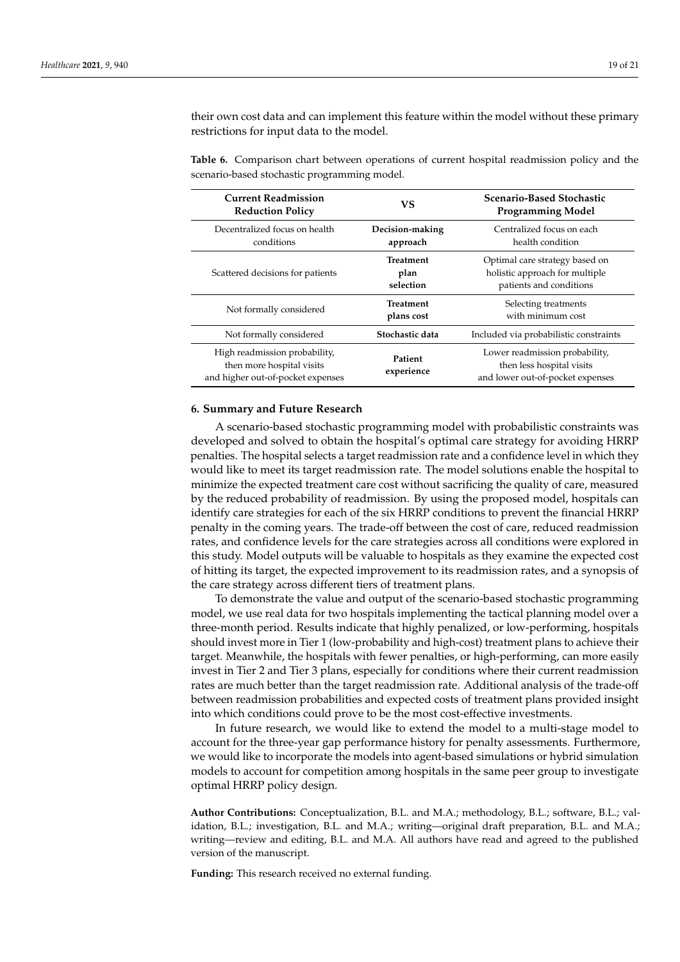their own cost data and can implement this feature within the model without these primary restrictions for input data to the model.

<span id="page-18-0"></span>**Table 6.** Comparison chart between operations of current hospital readmission policy and the scenario-based stochastic programming model.

| <b>Current Readmission</b><br><b>Reduction Policy</b>                                           | <b>VS</b>                             | <b>Scenario-Based Stochastic</b><br><b>Programming Model</b>                                    |
|-------------------------------------------------------------------------------------------------|---------------------------------------|-------------------------------------------------------------------------------------------------|
| Decentralized focus on health<br>conditions                                                     | Decision-making<br>approach           | Centralized focus on each<br>health condition                                                   |
| Scattered decisions for patients                                                                | <b>Treatment</b><br>plan<br>selection | Optimal care strategy based on<br>holistic approach for multiple<br>patients and conditions     |
| Not formally considered                                                                         | <b>Treatment</b><br>plans cost        | Selecting treatments<br>with minimum cost                                                       |
| Not formally considered                                                                         | Stochastic data                       | Included via probabilistic constraints                                                          |
| High readmission probability,<br>then more hospital visits<br>and higher out-of-pocket expenses | Patient<br>experience                 | Lower readmission probability,<br>then less hospital visits<br>and lower out-of-pocket expenses |

#### **6. Summary and Future Research**

A scenario-based stochastic programming model with probabilistic constraints was developed and solved to obtain the hospital's optimal care strategy for avoiding HRRP penalties. The hospital selects a target readmission rate and a confidence level in which they would like to meet its target readmission rate. The model solutions enable the hospital to minimize the expected treatment care cost without sacrificing the quality of care, measured by the reduced probability of readmission. By using the proposed model, hospitals can identify care strategies for each of the six HRRP conditions to prevent the financial HRRP penalty in the coming years. The trade-off between the cost of care, reduced readmission rates, and confidence levels for the care strategies across all conditions were explored in this study. Model outputs will be valuable to hospitals as they examine the expected cost of hitting its target, the expected improvement to its readmission rates, and a synopsis of the care strategy across different tiers of treatment plans.

To demonstrate the value and output of the scenario-based stochastic programming model, we use real data for two hospitals implementing the tactical planning model over a three-month period. Results indicate that highly penalized, or low-performing, hospitals should invest more in Tier 1 (low-probability and high-cost) treatment plans to achieve their target. Meanwhile, the hospitals with fewer penalties, or high-performing, can more easily invest in Tier 2 and Tier 3 plans, especially for conditions where their current readmission rates are much better than the target readmission rate. Additional analysis of the trade-off between readmission probabilities and expected costs of treatment plans provided insight into which conditions could prove to be the most cost-effective investments.

In future research, we would like to extend the model to a multi-stage model to account for the three-year gap performance history for penalty assessments. Furthermore, we would like to incorporate the models into agent-based simulations or hybrid simulation models to account for competition among hospitals in the same peer group to investigate optimal HRRP policy design.

**Author Contributions:** Conceptualization, B.L. and M.A.; methodology, B.L.; software, B.L.; validation, B.L.; investigation, B.L. and M.A.; writing—original draft preparation, B.L. and M.A.; writing—review and editing, B.L. and M.A. All authors have read and agreed to the published version of the manuscript.

**Funding:** This research received no external funding.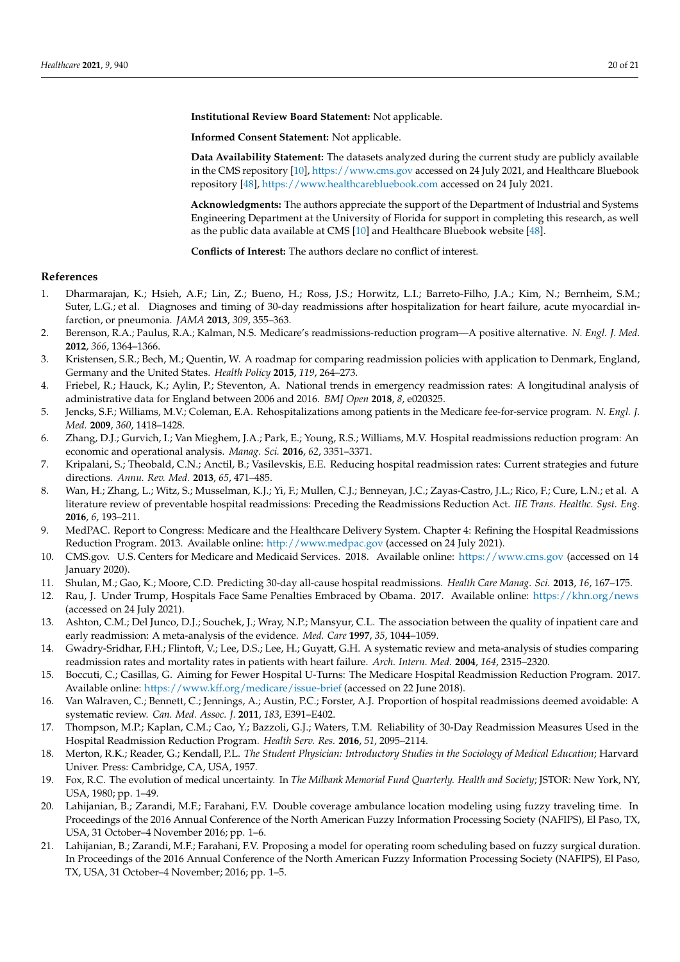**Institutional Review Board Statement:** Not applicable.

**Informed Consent Statement:** Not applicable.

**Data Availability Statement:** The datasets analyzed during the current study are publicly available in the CMS repository [\[10\]](#page-19-9), <https://www.cms.gov> accessed on 24 July 2021, and Healthcare Bluebook repository [\[48\]](#page-20-24), <https://www.healthcarebluebook.com> accessed on 24 July 2021.

**Acknowledgments:** The authors appreciate the support of the Department of Industrial and Systems Engineering Department at the University of Florida for support in completing this research, as well as the public data available at CMS [\[10\]](#page-19-9) and Healthcare Bluebook website [\[48\]](#page-20-24).

**Conflicts of Interest:** The authors declare no conflict of interest.

## **References**

- <span id="page-19-0"></span>1. Dharmarajan, K.; Hsieh, A.F.; Lin, Z.; Bueno, H.; Ross, J.S.; Horwitz, L.I.; Barreto-Filho, J.A.; Kim, N.; Bernheim, S.M.; Suter, L.G.; et al. Diagnoses and timing of 30-day readmissions after hospitalization for heart failure, acute myocardial infarction, or pneumonia. *JAMA* **2013**, *309*, 355–363.
- <span id="page-19-1"></span>2. Berenson, R.A.; Paulus, R.A.; Kalman, N.S. Medicare's readmissions-reduction program—A positive alternative. *N. Engl. J. Med.* **2012**, *366*, 1364–1366.
- <span id="page-19-2"></span>3. Kristensen, S.R.; Bech, M.; Quentin, W. A roadmap for comparing readmission policies with application to Denmark, England, Germany and the United States. *Health Policy* **2015**, *119*, 264–273.
- <span id="page-19-3"></span>4. Friebel, R.; Hauck, K.; Aylin, P.; Steventon, A. National trends in emergency readmission rates: A longitudinal analysis of administrative data for England between 2006 and 2016. *BMJ Open* **2018**, *8*, e020325.
- <span id="page-19-4"></span>5. Jencks, S.F.; Williams, M.V.; Coleman, E.A. Rehospitalizations among patients in the Medicare fee-for-service program. *N. Engl. J. Med.* **2009**, *360*, 1418–1428.
- <span id="page-19-5"></span>6. Zhang, D.J.; Gurvich, I.; Van Mieghem, J.A.; Park, E.; Young, R.S.; Williams, M.V. Hospital readmissions reduction program: An economic and operational analysis. *Manag. Sci.* **2016**, *62*, 3351–3371.
- <span id="page-19-6"></span>7. Kripalani, S.; Theobald, C.N.; Anctil, B.; Vasilevskis, E.E. Reducing hospital readmission rates: Current strategies and future directions. *Annu. Rev. Med.* **2013**, *65*, 471–485.
- <span id="page-19-7"></span>8. Wan, H.; Zhang, L.; Witz, S.; Musselman, K.J.; Yi, F.; Mullen, C.J.; Benneyan, J.C.; Zayas-Castro, J.L.; Rico, F.; Cure, L.N.; et al. A literature review of preventable hospital readmissions: Preceding the Readmissions Reduction Act. *IIE Trans. Healthc. Syst. Eng.* **2016**, *6*, 193–211.
- <span id="page-19-8"></span>9. MedPAC. Report to Congress: Medicare and the Healthcare Delivery System. Chapter 4: Refining the Hospital Readmissions Reduction Program. 2013. Available online: <http://www.medpac.gov> (accessed on 24 July 2021).
- <span id="page-19-9"></span>10. CMS.gov. U.S. Centers for Medicare and Medicaid Services. 2018. Available online: <https://www.cms.gov> (accessed on 14 January 2020).
- <span id="page-19-10"></span>11. Shulan, M.; Gao, K.; Moore, C.D. Predicting 30-day all-cause hospital readmissions. *Health Care Manag. Sci.* **2013**, *16*, 167–175.
- <span id="page-19-11"></span>12. Rau, J. Under Trump, Hospitals Face Same Penalties Embraced by Obama. 2017. Available online: <https://khn.org/news> (accessed on 24 July 2021).
- <span id="page-19-12"></span>13. Ashton, C.M.; Del Junco, D.J.; Souchek, J.; Wray, N.P.; Mansyur, C.L. The association between the quality of inpatient care and early readmission: A meta-analysis of the evidence. *Med. Care* **1997**, *35*, 1044–1059.
- <span id="page-19-13"></span>14. Gwadry-Sridhar, F.H.; Flintoft, V.; Lee, D.S.; Lee, H.; Guyatt, G.H. A systematic review and meta-analysis of studies comparing readmission rates and mortality rates in patients with heart failure. *Arch. Intern. Med.* **2004**, *164*, 2315–2320.
- <span id="page-19-14"></span>15. Boccuti, C.; Casillas, G. Aiming for Fewer Hospital U-Turns: The Medicare Hospital Readmission Reduction Program. 2017. Available online: <https://www.kff.org/medicare/issue-brief> (accessed on 22 June 2018).
- <span id="page-19-15"></span>16. Van Walraven, C.; Bennett, C.; Jennings, A.; Austin, P.C.; Forster, A.J. Proportion of hospital readmissions deemed avoidable: A systematic review. *Can. Med. Assoc. J.* **2011**, *183*, E391–E402.
- <span id="page-19-16"></span>17. Thompson, M.P.; Kaplan, C.M.; Cao, Y.; Bazzoli, G.J.; Waters, T.M. Reliability of 30-Day Readmission Measures Used in the Hospital Readmission Reduction Program. *Health Serv. Res.* **2016**, *51*, 2095–2114.
- <span id="page-19-17"></span>18. Merton, R.K.; Reader, G.; Kendall, P.L. *The Student Physician: Introductory Studies in the Sociology of Medical Education*; Harvard Univer. Press: Cambridge, CA, USA, 1957.
- <span id="page-19-18"></span>19. Fox, R.C. The evolution of medical uncertainty. In *The Milbank Memorial Fund Quarterly. Health and Society*; JSTOR: New York, NY, USA, 1980; pp. 1–49.
- <span id="page-19-19"></span>20. Lahijanian, B.; Zarandi, M.F.; Farahani, F.V. Double coverage ambulance location modeling using fuzzy traveling time. In Proceedings of the 2016 Annual Conference of the North American Fuzzy Information Processing Society (NAFIPS), El Paso, TX, USA, 31 October–4 November 2016; pp. 1–6.
- <span id="page-19-20"></span>21. Lahijanian, B.; Zarandi, M.F.; Farahani, F.V. Proposing a model for operating room scheduling based on fuzzy surgical duration. In Proceedings of the 2016 Annual Conference of the North American Fuzzy Information Processing Society (NAFIPS), El Paso, TX, USA, 31 October–4 November; 2016; pp. 1–5.